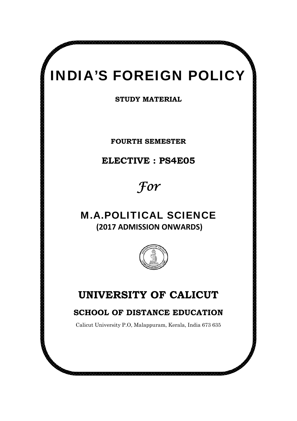# **INDIA'S FOREIGN POLICY**

**STUDY MATERIAL**

**FOURTH SEMESTER**

**ELECTIVE : PS4E05**



# **M.A.POLITICAL SCIENCE (2017 ADMISSION ONWARDS)**



# **UNIVERSITY OF CALICUT**

### **SCHOOL OF DISTANCE EDUCATION**

Calicut University P.O, Malappuram, Kerala, India 673 635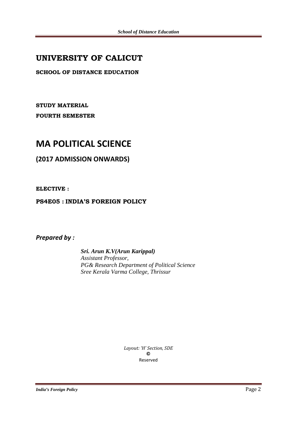### **UNIVERSITY OF CALICUT**

**SCHOOL OF DISTANCE EDUCATION**

**STUDY MATERIAL FOURTH SEMESTER**

# **MA POLITICAL SCIENCE**

### **(2017 ADMISSION ONWARDS)**

**ELECTIVE :**

#### **PS4E05 : INDIA'S FOREIGN POLICY**

*Prepared by :*

*Sri. Arun K.V(Arun Karippal) Assistant Professor, PG& Research Department of Political Science Sree Kerala Varma College, Thrissur*

> *Layout: 'H' Section, SDE* **©** Reserved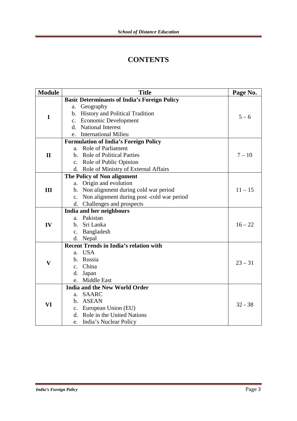## **CONTENTS**

| <b>Module</b> | <b>Title</b>                                                | Page No.  |
|---------------|-------------------------------------------------------------|-----------|
|               | <b>Basic Determinants of India's Foreign Policy</b>         |           |
| I             | Geography<br>a.                                             | $5 - 6$   |
|               | <b>History and Political Tradition</b><br>b.                |           |
|               | <b>Economic Development</b><br>$\mathbf{c}$ .               |           |
|               | <b>National Interest</b><br>d.                              |           |
|               | <b>International Milieu</b><br>e.                           |           |
| $\mathbf{I}$  | <b>Formulation of India's Foreign Policy</b>                | $7 - 10$  |
|               | <b>Role of Parliament</b><br>a.                             |           |
|               | b. Role of Political Parties                                |           |
|               | c. Role of Public Opinion                                   |           |
|               | d. Role of Ministry of External Affairs                     |           |
| III           | The Policy of Non alignment                                 | $11 - 15$ |
|               | Origin and evolution<br>a.                                  |           |
|               | Non alignment during cold war period<br>$b_{1}$             |           |
|               | Non alignment during post -cold war period<br>$C_{\bullet}$ |           |
|               | d. Challenges and prospects                                 |           |
| IV            | India and her neighbours                                    | $16 - 22$ |
|               | a. Pakistan                                                 |           |
|               | b. Sri Lanka                                                |           |
|               | Bangladesh<br>$\mathbf{c}$ .                                |           |
|               | d. Nepal                                                    |           |
| $\mathbf{V}$  | <b>Recent Trends in India's relation with</b>               | $23 - 31$ |
|               | a. USA                                                      |           |
|               | b. Russia                                                   |           |
|               | China<br>$c_{\cdot}$                                        |           |
|               | Japan<br>d.                                                 |           |
|               | Middle East<br>e.                                           |           |
| VI            | <b>India and the New World Order</b>                        |           |
|               | <b>SAARC</b><br>a.                                          | $32 - 38$ |
|               | b. ASEAN                                                    |           |
|               | European Union (EU)<br>c.                                   |           |
|               | Role in the United Nations<br>$\rm d$ .                     |           |
|               | India's Nuclear Policy<br>e.                                |           |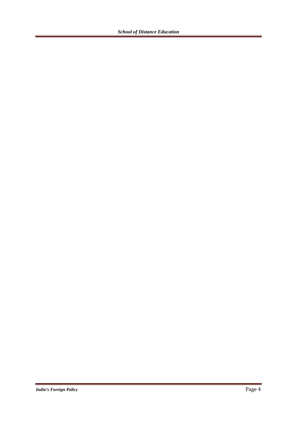*School of Distance Education*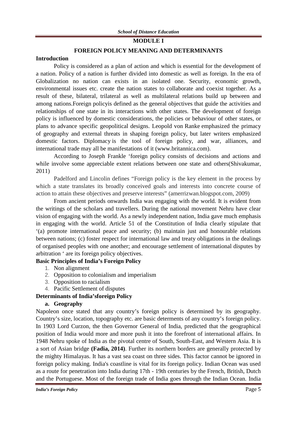#### **MODULE I**

#### **FOREIGN POLICY MEANING AND DETERMINANTS**

#### **Introduction**

Policy is considered as a plan of action and which is essential for the development of a nation. Policy of a nation is further divided into domestic as well as foreign. In the era of Globalization no nation can exists in an isolated one. Security, economic growth, environmental issues etc. create the nation states to collaborate and coexist together. As a result of these, bilateral, trilateral as well as multilateral relations build up between and among nations.Foreign policyis defined as the general objectives that guide the activities and relationships of one state in its interactions with other states. The development of foreign policy is influenced by domestic considerations, the policies or behaviour of other states, or plans to advance specific geopolitical designs. Leopold von Ranke emphasized the primacy of geography and external threats in shaping foreign policy, but later writers emphasized domestic factors. Diplomacy is the tool of foreign policy, and war, alliances, and international trade may all be manifestations of it (www.britannica.com).

According to Joseph Frankle 'foreign policy consists of decisions and actions and while involve some appreciable extent relations between one state and others(Shivakumar, 2011)

Padelford and Lincolin defines "Foreign policy is the key element in the process by which a state translates its broadly conceived goals and interests into concrete course of action to attain these objectives and preserve interests" (amerrizwan.blogspot.com, 2009)

From ancient periods onwards India was engaging with the world. It is evident from the writings of the scholars and travellers. During the national movement Nehru have clear vision of engaging with the world. As a newly independent nation, India gave much emphasis in engaging with the world. Article 51 of the Constitution of India clearly stipulate that '(a) promote international peace and security; (b) maintain just and honourable relations between nations; (c) foster respect for international law and treaty obligations in the dealings of organised peoples with one another; and encourage settlement of international disputes by arbitration ' are its foreign policy objectives.

#### **Basic Principles of India's Foreign Policy**

- 1. Non alignment
- 2. Opposition to colonialism and imperialism
- 3. Opposition to racialism
- 4. Pacific Settlement of disputes

#### **Determinants of India'sforeign Policy**

#### **a. Geography**

Napoleon once stated that any country's foreign policy is determined by its geography. Country's size, location, topography etc. are basic determents of any country's foreign policy. In 1903 Lord Curzon, the then Governor General of India, predicted that the geographical position of India would more and more push it into the forefront of international affairs. In 1948 Nehru spoke of India as the pivotal centre of South, South-East, and Western Asia. It is a sort of Asian bridge **(Fadia, 2014)**. Further its northern borders are generally protected by the mighty Himalayas. It has a vast sea coast on three sides. This factor cannot be ignored in foreign policy making. India's coastline is vital for its foreign policy. Indian Ocean was used as a route for penetration into India during 17th - 19th centuries by the French, British, Dutch and the Portuguese. Most of the foreign trade of India goes through the Indian Ocean. India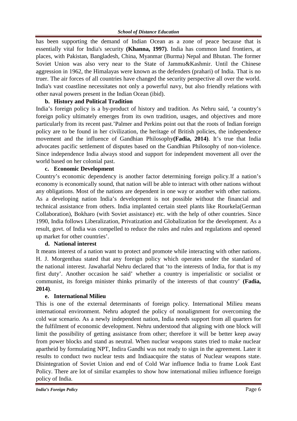has been supporting the demand of Indian Ocean as a zone of peace because that is essentially vital for India's security **(Khanna, 1997)**. India has common land frontiers, at places, with Pakistan, Bangladesh, China, Myanmar (Burma) Nepal and Bhutan. The former Soviet Union was also very near to the State of Jammu&Kashmir. Until the Chinese aggression in 1962, the Himalayas were known as the defenders (prahari) of India. That is no truer. The air forces of all countries have changed the security perspective all over the world. India's vast coastline necessitates not only a powerful navy, but also friendly relations with other naval powers present in the Indian Ocean (ibid).

#### **b. History and Political Tradition**

India's foreign policy is a by-product of history and tradition. As Nehru said, 'a country's foreign policy ultimately emerges from its own tradition, usages, and objectives and more particularly from its recent past.'Palmer and Perkins point out that the roots of Indian foreign policy are to be found in her civilization, the heritage of British policies, the independence movement and the influence of Gandhian Philosophy**(Fadia, 2014)**. It's true that India advocates pacific settlement of disputes based on the Gandhian Philosophy of non-violence. Since independence India always stood and support for independent movement all over the world based on her colonial past.

#### **c. Economic Development**

Country's economic dependency is another factor determining foreign policy.If a nation's economy is economically sound, that nation will be able to interact with other nations without any obligations. Most of the nations are dependent in one way or another with other nations. As a developing nation India's development is not possible without the financial and technical assistance from others. India implanted certain steel plants like Rourkela(German Collaboration), Bokharo (with Soviet assistance) etc. with the help of other countries. Since 1990, India follows Liberalization, Privatization and Globalization for the development. As a result, govt. of India was compelled to reduce the rules and rules and regulations and opened up market for other countries'.

#### **d. National interest**

It means interest of a nation want to protect and promote while interacting with other nations. H. J. Morgenthau stated that any foreign policy which operates under the standard of the national interest. Jawaharlal Nehru declared that 'to the interests of India, for that is my first duty'. Another occasion he said' whether a country is imperialistic or socialist or communist, its foreign minister thinks primarily of the interests of that country' **(Fadia, 2014)**.

#### **e. International Milieu**

This is one of the external determinants of foreign policy. International Milieu means international environment. Nehru adopted the policy of nonalignment for overcoming the cold war scenario. As a newly independent nation, India needs support from all quarters for the fulfilment of economic development. Nehru understood that aligning with one block will limit the possibility of getting assistance from other; therefore it will be better keep away from power blocks and stand as neutral. When nuclear weapons states tried to make nuclear apartheid by formulating NPT, Indira Gandhi was not ready to sign in the agreement. Later it results to conduct two nuclear tests and Indiaacquire the status of Nuclear weapons state. Disintegration of Soviet Union and end of Cold War influence India to frame Look East Policy. There are lot of similar examples to show how international milieu influence foreign policy of India.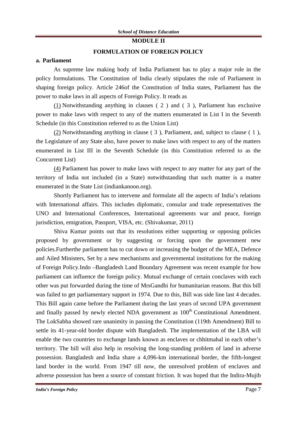#### **MODULE II**

#### **FORMULATION OF FOREIGN POLICY**

#### **a. Parliament**

As supreme law making body of India Parliament has to play a major role in the policy formulations. The Constitution of India clearly stipulates the role of Parliament in shaping foreign policy. Article 246of the Constitution of India states, Parliament has the power to make laws in all aspects of Foreign Policy. It reads as

(1) Notwithstanding anything in clauses ( 2 ) and ( 3 ), Parliament has exclusive power to make laws with respect to any of the matters enumerated in List I in the Seventh Schedule (in this Constitution referred to as the Union List)

 $(2)$  Notwithstanding anything in clause (3), Parliament, and, subject to clause (1), the Legislature of any State also, have power to make laws with respect to any of the matters enumerated in List III in the Seventh Schedule (in this Constitution referred to as the Concurrent List)

(4) Parliament has power to make laws with respect to any matter for any part of the territory of India not included (in a State) notwithstanding that such matter is a matter enumerated in the State List (indiankanoon.org).

Shortly Parliament has to intervene and formulate all the aspects of India's relations with International affairs. This includes diplomatic, consular and trade representatives the UNO and International Conferences, International agreements war and peace, foreign jurisdiction, emigration, Passport, VISA, etc. (Shivakumar, 2011)

Shiva Kumar points out that its resolutions either supporting or opposing policies proposed by government or by suggesting or forcing upon the government new policies.Furtherthe parliament has to cut down or increasing the budget of the MEA, Defence and Ailed Ministers, Set by a new mechanisms and governmental institutions for the making of Foreign Policy.Indo –Bangladesh Land Boundary Agreement was recent example for how parliament can influence the foreign policy. Mutual exchange of certain conclaves with each other was put forwarded during the time of MrsGandhi for humanitarian reasons. But this bill was failed to get parliamentary support in 1974. Due to this, Bill was side line last 4 decades. This Bill again came before the Parliament during the last years of second UPA government and finally passed by newly elected NDA government as 100<sup>th</sup> Constitutional Amendment. The LokSabha showed rare unanimity in passing the Constitution (119th Amendment) Bill to settle its 41-year-old border dispute with Bangladesh. The implementation of the LBA will enable the two countries to exchange lands known as enclaves or chhitmahal in each other's territory. The bill will also help in resolving the long-standing problem of land in adverse possession. Bangladesh and India share a 4,096-km international border, the fifth-longest land border in the world. From 1947 till now, the unresolved problem of enclaves and adverse possession has been a source of constant friction. It was hoped that the Indira-Mujib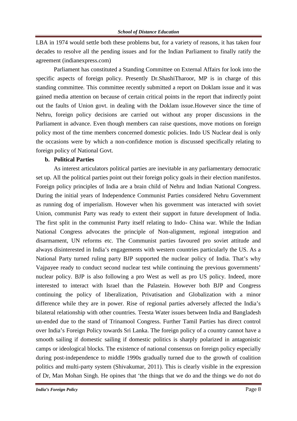LBA in 1974 would settle both these problems but, for a variety of reasons, it has taken four decades to resolve all the pending issues and for the Indian Parliament to finally ratify the agreement (indianexpress.com)

Parliament has constituted a Standing Committee on External Affairs for look into the specific aspects of foreign policy. Presently Dr.ShashiTharoor, MP is in charge of this standing committee. This committee recently submitted a report on Doklam issue and it was gained media attention on because of certain critical points in the report that indirectly point out the faults of Union govt. in dealing with the Doklam issue.However since the time of Nehru, foreign policy decisions are carried out without any proper discussions in the Parliament in advance. Even though members can raise questions, move motions on foreign policy most of the time members concerned domestic policies. Indo US Nuclear deal is only the occasions were by which a non-confidence motion is discussed specifically relating to foreign policy of National Govt.

#### **b. Political Parties**

As interest articulators political parties are inevitable in any parliamentary democratic set up. All the political parties point out their foreign policy goals in their election manifestos. Foreign policy principles of India are a brain child of Nehru and Indian National Congress. During the initial years of Independence Communist Parties considered Nehru Government as running dog of imperialism. However when his government was interacted with soviet Union, communist Party was ready to extent their support in future development of India. The first split in the communist Party itself relating to Indo- China war. While the Indian National Congress advocates the principle of Non-alignment, regional integration and disarmament, UN reforms etc. The Communist parties favoured pro soviet attitude and always disinterested in India's engagements with western countries particularly the US. As a National Party turned ruling party BJP supported the nuclear policy of India. That's why Vajpayee ready to conduct second nuclear test while continuing the previous governments' nuclear policy. BJP is also following a pro West as well as pro US policy. Indeed, more interested to interact with Israel than the Palastein. However both BJP and Congress continuing the policy of liberalization, Privatisation and Globalization with a minor difference while they are in power. Rise of regional parties adversely affected the India's bilateral relationship with other countries. Teesta Water issues between India and Bangladesh un-ended due to the stand of Trinamool Congress. Further Tamil Parties has direct control over India's Foreign Policy towards Sri Lanka. The foreign policy of a country cannot have a smooth sailing if domestic sailing if domestic politics is sharply polarized in antagonistic camps or ideological blocks. The existence of national consensus on foreign policy especially during post-independence to middle 1990s gradually turned due to the growth of coalition politics and multi-party system (Shivakumar, 2011). This is clearly visible in the expression of Dr, Man Mohan Singh. He opines that 'the things that we do and the things we do not do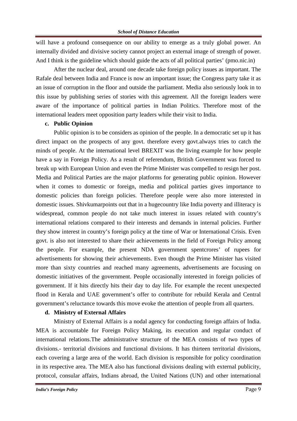will have a profound consequence on our ability to emerge as a truly global power. An internally divided and divisive society cannot project an external image of strength of power. And I think is the guideline which should guide the acts of all political parties' (pmo.nic.in)

After the nuclear deal, around one decade take foreign policy issues as important. The Rafale deal between India and France is now an important issue; the Congress party take it as an issue of corruption in the floor and outside the parliament. Media also seriously look in to this issue by publishing series of stories with this agreement. All the foreign leaders were aware of the importance of political parties in Indian Politics. Therefore most of the international leaders meet opposition party leaders while their visit to India.

#### **c. Public Opinion**

Public opinion is to be considers as opinion of the people. In a democratic set up it has direct impact on the prospects of any govt. therefore every govt.always tries to catch the minds of people. At the international level BREXIT was the living example for how people have a say in Foreign Policy. As a result of referendum, British Government was forced to break up with European Union and even the Prime Minister was compelled to resign her post. Media and Political Parties are the major platforms for generating public opinion. However when it comes to domestic or foreign, media and political parties gives importance to domestic policies than foreign policies. Therefore people were also more interested in domestic issues. Shivkumarpoints out that in a hugecountry like India poverty and illiteracy is widespread, common people do not take much interest in issues related with country's international relations compared to their interests and demands in internal policies. Further they show interest in country's foreign policy at the time of War or International Crisis. Even govt. is also not interested to share their achievements in the field of Foreign Policy among the people. For example, the present NDA government spentcrores' of rupees for advertisements for showing their achievements. Even though the Prime Minister has visited more than sixty countries and reached many agreements, advertisements are focusing on domestic initiatives of the government. People occasionally interested in foreign policies of government. If it hits directly hits their day to day life. For example the recent unexpected flood in Kerala and UAE government's offer to contribute for rebuild Kerala and Central government's reluctance towards this move evoke the attention of people from all quarters.

#### **d. Ministry of External Affairs**

Ministry of External Affairs is a nodal agency for conducting foreign affairs of India. MEA is accountable for Foreign Policy Making, its execution and regular conduct of international relations.The administrative structure of the MEA consists of two types of divisions.- territorial divisions and functional divisions. It has thirteen territorial divisions, each covering a large area of the world. Each division is responsible for policy coordination in its respective area. The MEA also has functional divisions dealing with external publicity, protocol, consular affairs, Indians abroad, the United Nations (UN) and other international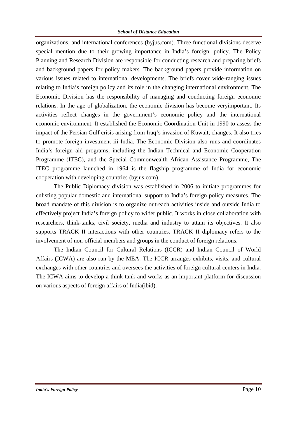organizations, and international conferences (byjus.com). Three functional divisions deserve special mention due to their growing importance in India's foreign, policy. The Policy Planning and Research Division are responsible for conducting research and preparing briefs and background papers for policy makers. The background papers provide information on various issues related to international developments. The briefs cover wide-ranging issues relating to India's foreign policy and its role in the changing international environment, The Economic Division has the responsibility of managing and conducting foreign economic relations. In the age of globalization, the economic division has become veryimportant. Its activities reflect changes in the government's economic policy and the international economic environment. It established the Economic Coordination Unit in 1990 to assess the impact of the Persian Gulf crisis arising from Iraq's invasion of Kuwait, changes. It also tries to promote foreign investment iii India. The Economic Division also runs and coordinates India's foreign aid programs, including the Indian Technical and Economic Cooperation Programme (ITEC), and the Special Commonwealth African Assistance Programme, The ITEC programme launched in 1964 is the flagship programme of India for economic cooperation with developing countries (byjus.com).

The Public Diplomacy division was established in 2006 to initiate programmes for enlisting popular domestic and international support to India's foreign policy measures. The broad mandate of this division is to organize outreach activities inside and outside India to effectively project India's foreign policy to wider public. It works in close collaboration with researchers, think-tanks, civil society, media and industry to attain its objectives. It also supports TRACK II interactions with other countries. TRACK II diplomacy refers to the involvement of non-official members and groups in the conduct of foreign relations.

The Indian Council for Cultural Relations (ICCR) and Indian Council of World Affairs (ICWA) are also run by the MEA. The ICCR arranges exhibits, visits, and cultural exchanges with other countries and oversees the activities of foreign cultural centers in India. The ICWA aims to develop a think-tank and works as an important platform for discussion on various aspects of foreign affairs of India(ibid).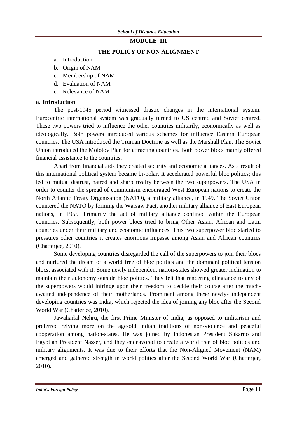#### **MODULE III**

#### **THE POLICY OF NON ALIGNMENT**

- a. Introduction
- b. Origin of NAM
- c. Membership of NAM
- d. Evaluation of NAM
- e. Relevance of NAM

#### **a. Introduction**

The post-1945 period witnessed drastic changes in the international system. Eurocentric international system was gradually turned to US centred and Soviet centred. These two powers tried to influence the other countries militarily, economically as well as ideologically. Both powers introduced various schemes for influence Eastern European countries. The USA introduced the Truman Doctrine as well as the Marshall Plan. The Soviet Union introduced the Molotov Plan for attracting countries. Both power blocs mainly offered financial assistance to the countries.

Apart from financial aids they created security and economic alliances. As a result of this international political system became bi-polar. It accelerated powerful bloc politics; this led to mutual distrust, hatred and sharp rivalry between the two superpowers. The USA in order to counter the spread of communism encouraged West European nations to create the North Atlantic Treaty Organisation (NATO), a military alliance, in 1949. The Soviet Union countered the NATO by forming the Warsaw Pact, another military alliance of East European nations, in 1955. Primarily the act of military alliance confined within the European countries. Subsequently, both power blocs tried to bring Other Asian, African and Latin countries under their military and economic influences. This two superpower bloc started to pressures other countries it creates enormous impasse among Asian and African countries (Chatterjee, 2010).

Some developing countries disregarded the call of the superpowers to join their blocs and nurtured the dream of a world free of bloc politics and the dominant political tension blocs, associated with it. Some newly independent nation-states showed greater inclination to maintain their autonomy outside bloc politics. They felt that rendering allegiance to any of the superpowers would infringe upon their freedom to decide their course after the much awaited independence of their motherlands. Prominent among these newly- independent developing countries was India, which rejected the idea of joining any bloc after the Second World War (Chatterjee, 2010).

Jawaharlal Nehru, the first Prime Minister of India, as opposed to militarism and preferred relying more on the age-old Indian traditions of non-violence and peaceful cooperation among nation-states. He was joined by Indonesian President Sukarno and Egyptian President Nasser, and they endeavored to create a world free of bloc politics and military alignments. It was due to their efforts that the Non-Aligned Movement (NAM) emerged and gathered strength in world politics after the Second World War (Chatterjee, 2010).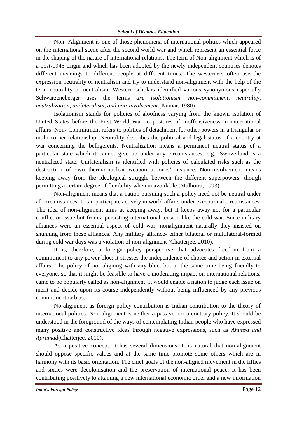Non- Alignment is one of those phenomena of international politics which appeared on the international scene after the second world war and which represent an essential force in the shaping of the nature of international relations. The term of Non-alignment which is of a post-1945 origin and which has been adopted by the newly independent countries denotes different meanings to different people at different times. The westerners often use the expression neutrality or neutralism and try to understand non-alignment with the help of the term neutrality or neutralism. Western scholars identified various synonymous especially Schwarzeneberger uses the terms *are Isolationism, non-commitment, neutrality, neutralization, unilateralism, and non-involvement.*(Kumar, 1980)

Isolationism stands for policies of aloofness varying from the known isolation of United States before the First World War to postures of inoffensiveness in international affairs. Non- Commitment refers to politics of detachment for other powers in a triangular or multi-corner relationship. Neutrality describes the political and legal status of a country at war concerning the belligerents. Neutralization means a permanent neutral status of a particular state which it cannot give up under any circumstances, e.g., Switzerland is a neutralized state. Unilateralism is identified with policies of calculated risks such as the destruction of own thermo-nuclear weapon at ones' instance. Non-involvement means keeping away from the ideological struggle between the different superpowers, though permitting a certain degree of flexibility when unavoidable (Malhotra, 1993).

Non-alignment means that a nation pursuing such a policy need not be neutral under all circumstances. It can participate actively in world affairs under exceptional circumstances. The idea of non-alignment aims at keeping away, but it keeps away not for a particular conflict or issue but from a persisting international tension like the cold war. Since military alliances were an essential aspect of cold war, nonalignment naturally they insisted on shunning from these alliances. Any military alliance- either bilateral or multilateral-formed during cold war days was a violation of non-alignment (Chatterjee, 2010).

It is, therefore, a foreign policy perspective that advocates freedom from a commitment to any power bloc; it stresses the independence of choice and action in external affairs. The policy of not aligning with any bloc, but at the same time being friendly to everyone, so that it might be feasible to have a moderating impact on international relations, came to be popularly called as non-alignment. It would enable a nation to judge each issue on merit and decide upon its course independently without being influenced by any previous commitment or bias.

No-alignment as foreign policy contribution is Indian contribution to the theory of international politics. Non-alignment is neither a passive nor a contrary policy. It should be understood in the foreground of the ways of contemplating Indian people who have expressed many positive and constructive ideas through negative expressions, such as *Ahimsa and Apramad*(Chatterjee, 2010).

As a positive concept, it has several dimensions. It is natural that non-alignment should oppose specific values and at the same time promote some others which are in harmony with its basic orientation. The chief goals of the non-aligned movement in the fifties and sixties were decolonisation and the preservation of international peace. It has been contributing positively to attaining a new international economic order and a new information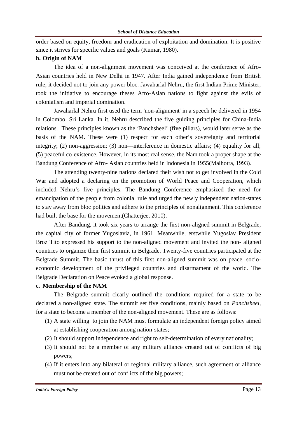order based on equity, freedom and eradication of exploitation and domination. It is positive since it strives for specific values and goals (Kumar, 1980).

#### **b. Origin of NAM**

The idea of a non-alignment movement was conceived at the conference of Afro- Asian countries held in New Delhi in 1947. After India gained independence from British rule, it decided not to join any power bloc. Jawaharlal Nehru, the first Indian Prime Minister, took the initiative to encourage theses Afro-Asian nations to fight against the evils of colonialism and imperial domination.

Jawaharlal Nehru first used the term 'non-alignment' in a speech he delivered in 1954 in Colombo, Sri Lanka. In it, Nehru described the five guiding principles for China-India relations. These principles known as the 'Panchsheel' (five pillars), would later serve as the basis of the NAM. These were (1) respect for each other's sovereignty and territorial integrity; (2) non-aggression; (3) non—interference in domestic affairs; (4) equality for all; (5) peaceful co-existence. However, in its most real sense, the Nam took a proper shape at the Bandung Conference of Afro- Asian countries held in Indonesia in 1955(Malhotra, 1993).

The attending twenty-nine nations declared their wish not to get involved in the Cold War and adopted a declaring on the promotion of World Peace and Cooperation, which included Nehru's five principles. The Bandung Conference emphasized the need for emancipation of the people from colonial rule and urged the newly independent nation-states to stay away from bloc politics and adhere to the principles of nonalignment. This conference had built the base for the movement(Chatterjee, 2010).

After Bandung, it took six years to arrange the first non-aligned summit in Belgrade, the capital city of former Yugoslavia, in 1961. Meanwhile, erstwhile Yugoslav President Broz Tito expressed his support to the non-aligned movement and invited the non- aligned countries to organize their first summit in Belgrade. Twenty-five countries participated at the Belgrade Summit. The basic thrust of this first non-aligned summit was on peace, socio economic development of the privileged countries and disarmament of the world. The Belgrade Declaration on Peace evoked a global response.

#### **c. Membership of the NAM**

The Belgrade summit clearly outlined the conditions required for a state to be declared a non-aligned state. The summit set five conditions, mainly based on *Panchsheel*, for a state to become a member of the non-aligned movement. These are as follows:

- (1) A state willing to join the NAM must formulate an independent foreign policy aimed at establishing cooperation among nation-states;
- (2) It should support independence and right to self-determination of every nationality;
- (3) It should not be a member of any military alliance created out of conflicts of big powers;
- (4) If it enters into any bilateral or regional military alliance, such agreement or alliance must not be created out of conflicts of the big powers;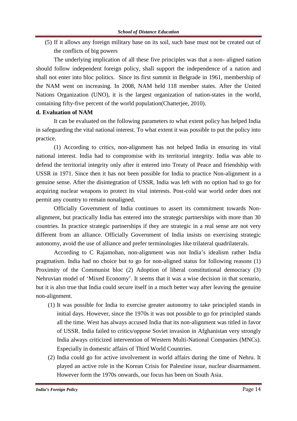(5) If it allows any foreign military base on its soil, such base must not be created out of the conflicts of big powers

The underlying implication of all these five principles was that a non- aligned nation should follow independent foreign policy, shall support the independence of a nation and shall not enter into bloc politics. Since its first summit in Belgrade in 1961, membership of the NAM went on increasing. In 2008, NAM held 118 member states. After the United Nations Organization (UNO), it is the largest organization of nation-states in the world, containing fifty-five percent of the world population(Chatterjee, 2010).

#### **d. Evaluation of NAM**

It can be evaluated on the following parameters to what extent policy has helped India in safeguarding the vital national interest. To what extent it was possible to put the policy into practice.

(1) According to critics, non-alignment has not helped India in ensuring its vital national interest. India had to compromise with its territorial integrity. India was able to defend the territorial integrity only after it entered into Treaty of Peace and friendship with USSR in 1971. Since then it has not been possible for India to practice Non-alignment in a genuine sense. After the disintegration of USSR, India was left with no option had to go for acquiring nuclear weapons to protect its vital interests. Post-cold war world order does not permit any country to remain nonaligned.

Officially Government of India continues to assert its commitment towards Non alignment, but practically India has entered into the strategic partnerships with more than 30 countries. In practice strategic partnerships if they are strategic in a real sense are not very different from an alliance. Officially Government of India insists on exercising strategic autonomy, avoid the use of alliance and prefer terminologies like trilateral quadrilaterals.

According to C Rajamohan, non-alignment was not India's idealism rather India pragmatism. India had no choice but to go for non-aligned status for following reasons (1) Proximity of the Communist bloc (2) Adoption of liberal constitutional democracy (3) Nehruvian model of 'Mixed Economy'. It seems that it was a wise decision in that scenario, but it is also true that India could secure itself in a much better way after leaving the genuine non-alignment.

- (1) It was possible for India to exercise greater autonomy to take principled stands in initial days. However, since the 1970s it was not possible to go for principled stands all the time. West has always accused India that its non-alignment was titled in favor of USSR. India failed to critics/oppose Soviet invasion in Afghanistan very strongly India always criticized intervention of Western Multi-National Companies (MNCs). Especially in domestic affairs of Third World Countries.
- (2) India could go for active involvement in world affairs during the time of Nehru. It played an active role in the Korean Crisis for Palestine issue, nuclear disarmament. However form the 1970s onwards, our focus has been on South Asia.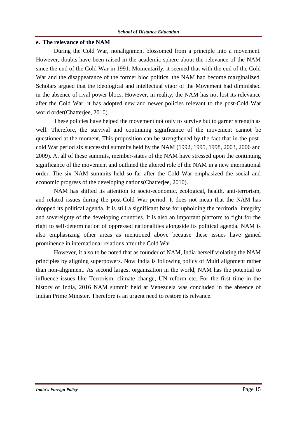#### **e. The relevance of the NAM**

During the Cold War, nonalignment blossomed from a principle into a movement. However, doubts have been raised in the academic sphere about the relevance of the NAM since the end of the Cold War in 1991. Momentarily, it seemed that with the end of the Cold War and the disappearance of the former bloc politics, the NAM had become marginalized. Scholars argued that the ideological and intellectual vigor of the Movement had diminished in the absence of rival power blocs. However, in reality, the NAM has not lost its relevance after the Cold War; it has adopted new and newer policies relevant to the post-Cold War world order(Chatterjee, 2010).

These policies have helped the movement not only to survive but to garner strength as well. Therefore, the survival and continuing significance of the movement cannot be questioned at the moment. This proposition can be strengthened by the fact that in the post cold War period six successful summits held by the NAM (1992, 1995, 1998, 2003, 2006 and 2009). At all of these summits, member-states of the NAM have stressed upon the continuing significance of the movement and outlined the altered role of the NAM in a new international order. The six NAM summits held so far after the Cold War emphasized the social and economic progress of the developing nations(Chatterjee, 2010).

NAM has shifted its attention to socio-economic, ecological, health, anti-terrorism, and related issues during the post-Cold War period. It does not mean that the NAM has dropped its political agenda, It is still a significant base for upholding the territorial integrity and sovereignty of the developing countries. It is also an important platform to fight for the right to self-determination of oppressed nationalities alongside its political agenda. NAM is also emphasizing other areas as mentioned above because these issues have gained prominence in international relations after the Cold War.

However, it also to be noted that as founder of NAM, India herself violating the NAM principles by aligning superpowers. Now India is following policy of Multi alignment rather than non-alignment. As second largest organization in the world, NAM has the potential to influence issues like Terrorism, climate change, UN reform etc. For the first time in the history of India, 2016 NAM summit held at Venezuela was concluded in the absence of Indian Prime Minister. Therefore is an urgent need to restore its relvance.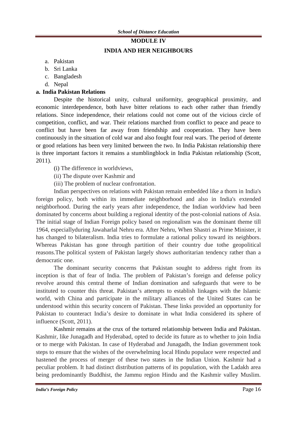#### **MODULE IV**

#### **INDIA AND HER NEIGHBOURS**

- a. Pakistan
- b. Sri Lanka
- c. Bangladesh
- d. Nepal

#### **a. India Pakistan Relations**

Despite the historical unity, cultural uniformity, geographical proximity, and economic interdependence, both have bitter relations to each other rather than friendly relations. Since independence, their relations could not come out of the vicious circle of competition, conflict, and war. Their relations marched from conflict to peace and peace to conflict but have been far away from friendship and cooperation. They have been continuously in the situation of cold war and also fought four real wars. The period of detente or good relations has been very limited between the two. In India Pakistan relationship there is three important factors it remains a stumblingblock in India Pakistan relationship (Scott, 2011).

(i) The difference in worldviews,

(ii) The dispute over Kashmir and

(iii) The problem of nuclear confrontation.

Indian perspectives on relations with Pakistan remain embedded like a thorn in India's foreign policy, both within its immediate neighborhood and also in India's extended neighborhood. During the early years after independence, the Indian worldview had been dominated by concerns about building a regional identity of the post-colonial nations of Asia. The initial stage of Indian Foreign policy based on regionalism was the dominant theme till 1964, especiallyduring Jawaharlal Nehru era. After Nehru, When Shastri as Prime Minister, it has changed to bilateralism. India tries to formulate a rational policy toward its neighbors. Whereas Pakistan has gone through partition of their country due tothe geopolitical reasons.The political system of Pakistan largely shows authoritarian tendency rather than a democratic one.

The dominant security concerns that Pakistan sought to address right from its inception is that of fear of India. The problem of Pakistan's foreign and defense policy revolve around this central theme of Indian domination and safeguards that were to be instituted to counter this threat. Pakistan's attempts to establish linkages with the Islamic world, with China and participate in the military alliances of the United States can be understood within this security concern of Pakistan. These links provided an opportunity for Pakistan to counteract India's desire to dominate in what India considered its sphere of influence (Scott, 2011).

Kashmir remains at the crux of the tortured relationship between India and Pakistan. Kashmir, like Junagadh and Hyderabad, opted to decide its future as to whether to join India or to merge with Pakistan. In case of Hyderabad and Junagadh, the Indian government took steps to ensure that the wishes of the overwhelming local Hindu populace were respected and hastened the process of merger of these two states in the Indian Union. Kashmir had a peculiar problem. It had distinct distribution patterns of its population, with the Ladakh area being predominantly Buddhist, the Jammu region Hindu and the Kashmir valley Muslim.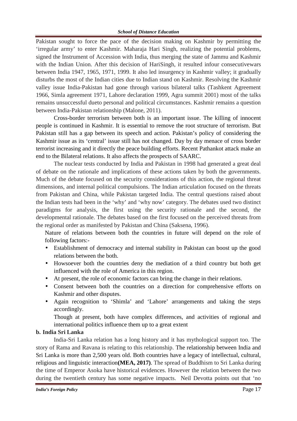Pakistan sought to force the pace of the decision making on Kashmir by permitting the 'irregular army' to enter Kashmir. Maharaja Hari Singh, realizing the potential problems, signed the Instrument of Accession with India, thus merging the state of Jammu and Kashmir with the Indian Union. After this decision of HariSingh, it resulted infour consecutivewars between India 1947, 1965, 1971, 1999. It also led insurgency in Kashmir valley; it gradually disturbs the most of the Indian cities due to Indian stand on Kashmir. Resolving the Kashmir valley issue India-Pakistan had gone through various bilateral talks (Tashkent Agreement 1966, Simla agreement 1971, Lahore declaration 1999, Agra summit 2001) most of the talks remains unsuccessful dueto personal and political circumstances. Kashmir remains a question between India-Pakistan relationship (Malone, 2011).

Cross-border terrorism between both is an important issue. The killing of innocent people is continued in Kashmir. It is essential to remove the root structure of terrorism. But Pakistan still has a gap between its speech and action. Pakistan's policy of considering the Kashmir issue as its 'central' issue still has not changed. Day by day menace of cross border terrorist increasing and it directly the peace building efforts. Recent Pathankot attack make an end to the Bilateral relations. It also affects the prospects of SAARC.

The nuclear tests conducted by India and Pakistan in 1998 had generated a great deal of debate on the rationale and implications of these actions taken by both the governments. Much of the debate focused on the security considerations of this action, the regional threat dimensions, and internal political compulsions. The Indian articulation focused on the threats from Pakistan and China, while Pakistan targeted India. The central questions raised about the Indian tests had been in the 'why' and 'why now' category. The debates used two distinct paradigms for analysis, the first using the security rationale and the second, the developmental rationale. The debates based on the first focused on the perceived threats from the regional order as manifested by Pakistan and China (Saksena, 1996).

Nature of relations between both the countries in future will depend on the role of following factors:-

- Establishment of democracy and internal stability in Pakistan can boost up the good relations between the both.
- Howsoever both the countries deny the mediation of a third country but both get influenced with the role of America in this region.
- At present, the role of economic factors can bring the change in their relations.
- Consent between both the countries on a direction for comprehensive efforts on Kashmir and other disputes.
- Again recognition to 'Shimla' and 'Lahore' arrangements and taking the steps accordingly.

Though at present, both have complex differences, and activities of regional and international politics influence them up to a great extent

#### **b. India Sri Lanka**

India-Sri Lanka relation has a long history and it has mythological support too. The story of Rama and Ravana is relating to this relationship. The relationship between India and Sri Lanka is more than 2,500 years old. Both countries have a legacy of intellectual, cultural, religious and linguistic interaction**(MEA, 2017)**. The spread of Buddhism to Sri Lanka during the time of Emperor Asoka have historical evidences. However the relation between the two during the twentieth century has some negative impacts. Neil Devotta points out that 'no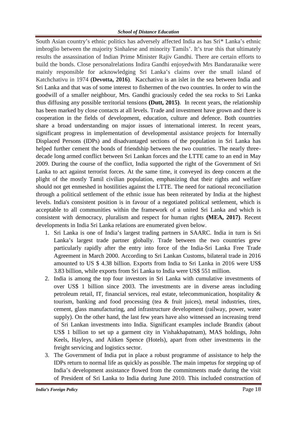#### *School of Distance Education*

South Asian country's ethnic politics has adversely affected India as has Sri\* Lanka's ethnic imbroglio between the majority Sinhalese and minority Tamils'. It's true this that ultimately results the assassination of Indian Prime Minister Rajiv Gandhi. There are certain efforts to build the bonds. Close personalrelations Indira Gandhi enjoyedwith Mrs Bandaranaike were mainly responsible for acknowledging Sri Lanka's claims over the small island of Katchchativu in 1974 **(Devotta, 2016)**. Kacchativu is an islet in the sea between India and Sri Lanka and that was of some interest to fishermen of the two countries. In order to win the goodwill of a smaller neighbour, Mrs. Gandhi graciously ceded the sea rocks to Sri Lanka thus diffusing any possible territorial tensions **(Dutt, 2015)**. In recent years, the relationship has been marked by close contacts at all levels. Trade and investment have grown and there is cooperation in the fields of development, education, culture and defence. Both countries share a broad understanding on major issues of international interest. In recent years, significant progress in implementation of developmental assistance projects for Internally Displaced Persons (IDPs) and disadvantaged sections of the population in Sri Lanka has helped further cement the bonds of friendship between the two countries. The nearly three decade long armed conflict between Sri Lankan forces and the LTTE came to an end in May 2009. During the course of the conflict, India supported the right of the Government of Sri Lanka to act against terrorist forces. At the same time, it conveyed its deep concern at the plight of the mostly Tamil civilian population, emphasizing that their rights and welfare should not get enmeshed in hostilities against the LTTE. The need for national reconciliation through a political settlement of the ethnic issue has been reiterated by India at the highest levels. India's consistent position is in favour of a negotiated political settlement, which is acceptable to all communities within the framework of a united Sri Lanka and which is consistent with democracy, pluralism and respect for human rights **(MEA, 2017)**. Recent developments in India Sri Lanka relations are enumerated given below.

- 1. Sri Lanka is one of India's largest trading partners in SAARC. India in turn is Sri Lanka's largest trade partner globally. Trade between the two countries grew particularly rapidly after the entry into force of the India-Sri Lanka Free Trade Agreement in March 2000. According to Sri Lankan Customs, bilateral trade in 2016 amounted to US \$ 4.38 billion. Exports from India to Sri Lanka in 2016 were US\$ 3.83 billion, while exports from Sri Lanka to India were US\$ 551 million.
- 2. India is among the top four investors in Sri Lanka with cumulative investments of over US\$ 1 billion since 2003. The investments are in diverse areas including petroleum retail, IT, financial services, real estate, telecommunication, hospitality & tourism, banking and food processing (tea  $\&$  fruit juices), metal industries, tires, cement, glass manufacturing, and infrastructure development (railway, power, water supply). On the other hand, the last few years have also witnessed an increasing trend of Sri Lankan investments into India. Significant examples include Brandix (about US\$ 1 billion to set up a garment city in Vishakhapatnam), MAS holdings, John Keels, Hayleys, and Aitken Spence (Hotels), apart from other investments in the freight servicing and logistics sector.
- 3. The Government of India put in place a robust programme of assistance to help the IDPs return to normal life as quickly as possible. The main impetus for stepping up of India's development assistance flowed from the commitments made during the visit of President of Sri Lanka to India during June 2010. This included construction of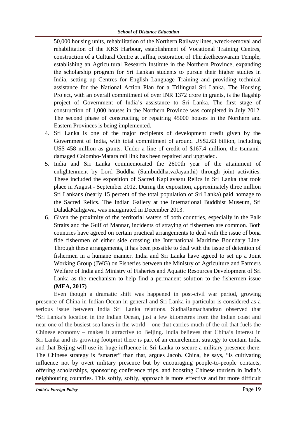50,000 housing units, rehabilitation of the Northern Railway lines, wreck-removal and rehabilitation of the KKS Harbour, establishment of Vocational Training Centres, construction of a Cultural Centre at Jaffna, restoration of Thiruketheeswaram Temple, establishing an Agricultural Research Institute in the Northern Province, expanding the scholarship program for Sri Lankan students to pursue their higher studies in India, setting up Centres for English Language Training and providing technical assistance for the National Action Plan for a Trilingual Sri Lanka. The Housing Project, with an overall commitment of over INR 1372 crore in grants, is the flagship project of Government of India's assistance to Sri Lanka. The first stage of construction of 1,000 houses in the Northern Province was completed in July 2012. The second phase of constructing or repairing 45000 houses in the Northern and Eastern Provinces is being implemented.

- 4. Sri Lanka is one of the major recipients of development credit given by the Government of India, with total commitment of around US\$2.63 billion, including US\$ 458 million as grants. Under a line of credit of \$167.4 million, the tsunami damaged Colombo-Matara rail link has been repaired and upgraded.
- 5. India and Sri Lanka commemorated the 2600th year of the attainment of enlightenment by Lord Buddha (SambuddhatvaJayanthi) through joint activities. These included the exposition of Sacred Kapilavastu Relics in Sri Lanka that took place in August - September 2012. During the exposition, approximately three million Sri Lankans (nearly 15 percent of the total population of Sri Lanka) paid homage to the Sacred Relics. The Indian Gallery at the International Buddhist Museum, Sri DaladaMaligawa, was inaugurated in December 2013.
- 6. Given the proximity of the territorial waters of both countries, especially in the Palk Straits and the Gulf of Mannar, incidents of straying of fishermen are common. Both countries have agreed on certain practical arrangements to deal with the issue of bona fide fishermen of either side crossing the International Maritime Boundary Line. Through these arrangements, it has been possible to deal with the issue of detention of fishermen in a humane manner. India and Sri Lanka have agreed to set up a Joint Working Group (JWG) on Fisheries between the Ministry of Agriculture and Farmers Welfare of India and Ministry of Fisheries and Aquatic Resources Development of Sri Lanka as the mechanism to help find a permanent solution to the fishermen issue **(MEA, 2017)**

Even though a dramatic shift was happened in post-civil war period, growing presence of China in Indian Ocean in general and Sri Lanka in particular is considered as a serious issue between India Sri Lanka relations. SudhaRamachandran observed that **'**Sri Lanka's location in the Indian Ocean, just a few kilometres from the Indian coast and near one of the busiest sea lanes in the world – one that carries much of the oil that fuels the Chinese economy – makes it attractive to Beijing. India believes that China's interest in Sri Lanka and its growing footprint there is part of an encirclement strategy to contain India and that Beijing will use its huge influence in Sri Lanka to secure a military presence there. The Chinese strategy is "smarter" than that, argues Jacob. China, he says, "is cultivating influence not by overt military presence but by encouraging people-to-people contacts, offering scholarships, sponsoring conference trips, and boosting Chinese tourism in India's neighbouring countries. This softly, softly, approach is more effective and far more difficult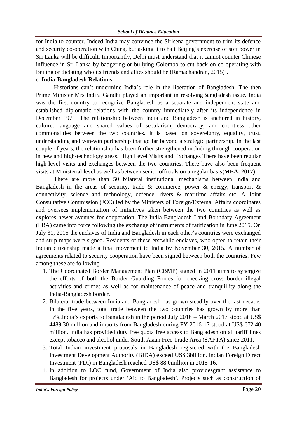for India to counter. Indeed India may convince the Sirisena government to trim its defence and security co-operation with China, but asking it to halt Beijing's exercise of soft power in Sri Lanka will be difficult. Importantly, Delhi must understand that it cannot counter Chinese influence in Sri Lanka by badgering or bullying Colombo to cut back on co-operating with Beijing or dictating who its friends and allies should be (Ramachandran, 2015)'.

#### **c. India-Bangladesh Relations**

Historians can't undermine India's role in the liberation of Bangladesh. The then Prime Minister Mrs Indira Gandhi played an important in resolvingBangladesh issue. India was the first country to recognize Bangladesh as a separate and independent state and established diplomatic relations with the country immediately after its independence in December 1971. The relationship between India and Bangladesh is anchored in history, culture, language and shared values of secularism, democracy, and countless other commonalities between the two countries. It is based on sovereignty, equality, trust, understanding and win-win partnership that go far beyond a strategic partnership. In the last couple of years, the relationship has been further strengthened including through cooperation in new and high-technology areas. High Level Visits and Exchanges There have been regular high-level visits and exchanges between the two countries. There have also been frequent visits at Ministerial level as well as between senior officials on a regular basis**(MEA, 2017)**.

There are more than 50 bilateral institutional mechanisms between India and Bangladesh in the areas of security, trade  $\&$  commerce, power  $\&$  energy, transport  $\&$ connectivity, science and technology, defence, rivers & maritime affairs etc. A Joint Consultative Commission (JCC) led by the Ministers of Foreign/External Affairs coordinates and oversees implementation of initiatives taken between the two countries as well as explores newer avenues for cooperation. The India-Bangladesh Land Boundary Agreement (LBA) came into force following the exchange of instruments of ratification in June 2015. On July 31, 2015 the enclaves of India and Bangladesh in each other's countries were exchanged and strip maps were signed. Residents of these erstwhile enclaves, who opted to retain their Indian citizenship made a final movement to India by November 30, 2015. A number of agreements related to security cooperation have been signed between both the countries. Few among these are following

- 1. The Coordinated Border Management Plan (CBMP) signed in 2011 aims to synergize the efforts of both the Border Guarding Forces for checking cross border illegal activities and crimes as well as for maintenance of peace and tranquillity along the India-Bangladesh border.
- 2. Bilateral trade between India and Bangladesh has grown steadily over the last decade. In the five years, total trade between the two countries has grown by more than 17%.India's exports to Bangladesh in the period July 2016 – March 2017 stood at US\$ 4489.30 million and imports from Bangladesh during FY 2016-17 stood at US\$ 672.40 million. India has provided duty free quota free access to Bangladesh on all tariff lines except tobacco and alcohol under South Asian Free Trade Area (SAFTA) since 2011.
- 3. Total Indian investment proposals in Bangladesh registered with the Bangladesh Investment Development Authority (BIDA) exceed US\$ 3billion. Indian Foreign Direct Investment (FDI) in Bangladesh reached US\$ 88.0million in 2015-16.
- 4. In addition to LOC fund, Government of India also providesgrant assistance to Bangladesh for projects under 'Aid to Bangladesh'. Projects such as construction of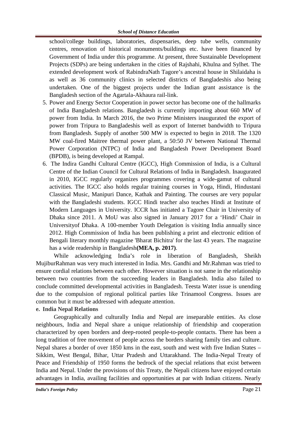school/college buildings, laboratories, dispensaries, deep tube wells, community centres, renovation of historical monuments/buildings etc. have been financed by Government of India under this programme. At present, three Sustainable Development Projects (SDPs) are being undertaken in the cities of Rajshahi, Khulna and Sylhet. The extended development work of RabindraNath Tagore's ancestral house in Shilaidaha is as well as 36 community clinics in selected districts of Bangladeshis also being undertaken. One of the biggest projects under the Indian grant assistance is the Bangladesh section of the Agartala-Akhaura rail-link.

- 5. Power and Energy Sector Cooperation in power sector has become one of the hallmarks of India Bangladesh relations. Bangladesh is currently importing about 660 MW of power from India. In March 2016, the two Prime Ministers inaugurated the export of power from Tripura to Bangladeshis well as export of Internet bandwidth to Tripura from Bangladesh. Supply of another 500 MW is expected to begin in 2018. The 1320 MW coal-fired Maitree thermal power plant, a 50:50 JV between National Thermal Power Corporation (NTPC) of India and Bangladesh Power Development Board (BPDB), is being developed at Rampal.
- 6. The Indira Gandhi Cultural Centre (IGCC), High Commission of India, is a Cultural Centre of the Indian Council for Cultural Relations of India in Bangladesh. Inaugurated in 2010, IGCC regularly organizes programmes covering a wide-gamut of cultural activities. The IGCC also holds regular training courses in Yoga, Hindi, Hindustani Classical Music, Manipuri Dance, Kathak and Painting. The courses are very popular with the Bangladeshi students. IGCC Hindi teacher also teaches Hindi at Institute of Modern Languages in University. ICCR has initiated a Tagore Chair in University of Dhaka since 2011. A MoU was also signed in January 2017 for a 'Hindi' Chair in Universityof Dhaka. A 100-member Youth Delegation is visiting India annually since 2012. High Commission of India has been publishing a print and electronic edition of Bengali literary monthly magazine 'Bharat Bichitra' for the last 43 years. The magazine has a wide readership in Bangladesh**(MEA, p. 2017)**.

While acknowledging India's role in liberation of Bangladesh, Sheikh MujiburRahman was very much interested in India. Mrs. Gandhi and Mr.Rahman was tried to ensure cordial relations between each other. However situation is not same in the relationship between two countries from the succeeding leaders in Bangladesh. India also failed to conclude committed developmental activities in Bangladesh. Teesta Water issue is unending due to the compulsion of regional political parties like Trinamool Congress. Issues are common but it must be addressed with adequate attention.

#### **e. India Nepal Relations**

Geographically and culturally India and Nepal are inseparable entities. As close neighbours, India and Nepal share a unique relationship of friendship and cooperation characterized by open borders and deep-rooted people-to-people contacts. There has been a long tradition of free movement of people across the borders sharing family ties and culture. Nepal shares a border of over 1850 kms in the east, south and west with five Indian States – Sikkim, West Bengal, Bihar, Uttar Pradesh and Uttarakhand. The India-Nepal Treaty of Peace and Friendship of 1950 forms the bedrock of the special relations that exist between India and Nepal. Under the provisions of this Treaty, the Nepali citizens have enjoyed certain advantages in India, availing facilities and opportunities at par with Indian citizens. Nearly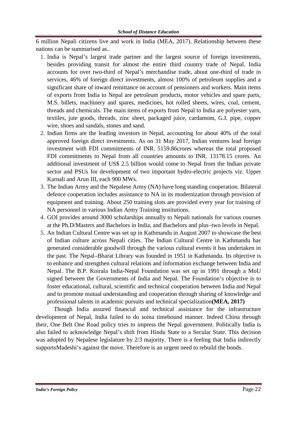6 million Nepali citizens live and work in India (MEA, 2017). Relationship between these nations can be summarised as..

- 1. India is Nepal's largest trade partner and the largest source of foreign investments, besides providing transit for almost the entire third country trade of Nepal. India accounts for over two-third of Nepal's merchandise trade, about one-third of trade in services, 46% of foreign direct investments, almost 100% of petroleum supplies and a significant share of inward remittance on account of pensioners and workers. Main items of exports from India to Nepal are petroleum products, motor vehicles and spare parts, M.S. billets, machinery and spares, medicines, hot rolled sheets, wires, coal, cement, threads and chemicals. The main items of exports from Nepal to India are polyester yarn, textiles, jute goods, threads, zinc sheet, packaged juice, cardamom, G.I. pipe, copper wire, shoes and sandals, stones and sand.
- 2. Indian firms are the leading investors in Nepal, accounting for about 40% of the total approved foreign direct investments. As on 31 May 2017, Indian ventures lead foreign investment with FDI commitments of INR. 5159.86crores whereas the total proposed FDI commitments to Nepal from all countries amounts to INR. 13178.15 crores. An additional investment of US\$ 2.5 billion would come to Nepal from the Indian private sector and PSUs for development of two important hydro-electric projects viz. Upper Karnali and Arun III, each 900 MWs.
- 3. The Indian Army and the Nepalese Army (NA) have long standing cooperation. Bilateral defence cooperation includes assistance to NA in its modernization through provision of equipment and training. About 250 training slots are provided every year for training of NA personnel in various Indian Army Training institutions.
- 4. GOI provides around 3000 scholarships annually to Nepali nationals for various courses at the Ph.D/Masters and Bachelors in India, and Bachelors and plus–two levels in Nepal.
- 5. An Indian Cultural Centre was set up in Kathmandu in August 2007 to showcase the best of Indian culture across Nepali cities. The Indian Cultural Centre in Kathmandu has generated considerable goodwill through the various cultural events it has undertaken in the past. The Nepal–Bharat Library was founded in 1951 in Kathmandu. Its objective is to enhance and strengthen cultural relations and information exchange between India and Nepal. The B.P. Koirala India-Nepal Foundation was set up in 1991 through a MoU signed between the Governments of India and Nepal. The Foundation's objective is to foster educational, cultural, scientific and technical cooperation between India and Nepal and to promote mutual understanding and cooperation through sharing of knowledge and professional talents in academic pursuits and technical specialization**(MEA, 2017)**

Though India assured financial and technical assistance for the infrastructure development of Nepal, India failed to do soina timebound manner. Indeed China through their, One Belt One Road policy tries to impress the Nepal government. Politically India is also failed to acknowledge Nepal's shift from Hindu State to a Secular State. This decision was adopted by Nepalese legislature by 2/3 majority. There is a feeling that India indirectly supportsMadeshi's against the move. Therefore is an urgent need to rebuild the bonds.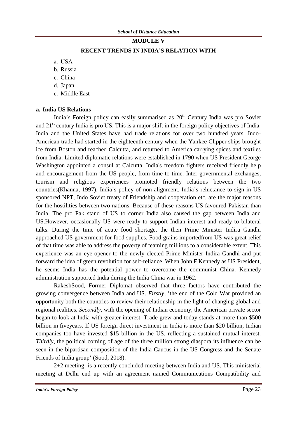#### **MODULE V**

#### **RECENT TRENDS IN INDIA'S RELATION WITH**

- a. USA
- b. Russia
- c. China
- d. Japan
- e. Middle East

#### **a. India US Relations**

India's Foreign policy can easily summarised as  $20<sup>th</sup>$  Century India was pro Soviet and 21<sup>st</sup> century India is pro US. This is a major shift in the foreign policy objectives of India. India and the United States have had trade relations for over two hundred years. Indo- American trade had started in the eighteenth century when the Yankee Clipper ships brought ice from Boston and reached Calcutta, and returned to America carrying spices and textiles from India. Limited diplomatic relations were established in 1790 when US President George Washington appointed a consul at Calcutta. India's freedom fighters received friendly help and encouragement from the US people, from time to time. Inter-governmental exchanges, tourism and religious experiences promoted friendly relations between the two countries(Khanna, 1997). India's policy of non-alignment, India's reluctance to sign in US sponsored NPT, Indo Soviet treaty of Friendship and cooperation etc. are the major reasons for the hostilities between two nations. Because of these reasons US favoured Pakistan than India. The pro Pak stand of US to corner India also caused the gap between India and US.However, occasionally US were ready to support Indian interest and ready to bilateral talks. During the time of acute food shortage, the then Prime Minister Indira Gandhi approached US government for food supplies. Food grains importedfrom US was great relief of that time was able to address the poverty of teaming millions to a considerable extent. This experience was an eye-opener to the newly elected Prime Minister Indira Gandhi and put forward the idea of green revolution for self-reliance. When John F Kennedy as US President, he seems India has the potential power to overcome the communist China. Kennedy administration supported India during the India China war in 1962.

RakeshSood, Former Diplomat observed that three factors have contributed the growing convergence between India and US. *Firstly*, 'the end of the Cold War provided an opportunity both the countries to review their relationship in the light of changing global and regional realities. *Secondly*, with the opening of Indian economy, the American private sector began to look at India with greater interest. Trade grew and today stands at more than \$500 billion in fiveyears. If US foreign direct investment in India is more than \$20 billion, Indian companies too have invested \$15 billion in the US, reflecting a sustained mutual interest. *Thirdly*, the political coming of age of the three million strong diaspora its influence can be seen in the bipartisan composition of the India Caucus in the US Congress and the Senate Friends of India group' (Sood, 2018).

2+2 meeting- is a recently concluded meeting between India and US. This ministerial meeting at Delhi end up with an agreement named Communications Compatibility and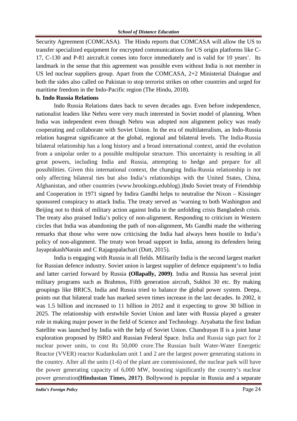Security Agreement (COMCASA). The Hindu reports that COMCASA will allow the US to transfer specialized equipment for encrypted communications for US origin platforms like C- 17, C-130 and P-81 aircraft.it comes into force immediately and is valid for 10 years'. Its landmark in the sense that this agreement was possible even without India is not member in US led nuclear suppliers group. Apart from the COMCASA, 2+2 Ministerial Dialogue and both the sides also called on Pakistan to stop terrorist strikes on other countries and urged for maritime freedom in the Indo-Pacific region (The Hindu, 2018).

#### **b. Indo Russia Relations**

Indo Russia Relations dates back to seven decades ago. Even before independence, nationalist leaders like Nehru were very much interested in Soviet model of planning. When India was independent even though Nehru was adopted non alignment policy was ready cooperating and collaborate with Soviet Union. In the era of multilateralism, an Indo-Russia relation hasgreat significance at the global, regional and bilateral levels. The India-Russia bilateral relationship has a long history and a broad international context, amid the evolution from a unipolar order to a possible multipolar structure. This uncertainty is resulting in all great powers, including India and Russia, attempting to hedge and prepare for all possibilities. Given this international context, the changing India-Russia relationship is not only affecting bilateral ties but also India's relationships with the United States, China, Afghanistan, and other countries (www.brookings.edublog).)Indo Soviet treaty of Friendship and Cooperation in 1971 signed by Indira Gandhi helps to neutralise the Nixon – Kissinger sponsored conspiracy to attack India. The treaty served as 'warning to both Washington and Beijing not to think of military action against India in the unfolding crisis Bangladesh crisis. The treaty also praised India's policy of non-alignment. Responding to criticism in Western circles that India was abandoning the path of non-alignment, Ms Gandhi made the withering remarks that those who were now criticising the India had always been hostile to India's policy of non-alignment. The treaty won broad support in India, among its defenders being JayaprakashNarain and C Rajagopalachari (Dutt, 2015).

India is engaging with Russia in all fields. Militarily India is the second largest market for Russian defence industry. Soviet union is largest supplier of defence equipment's to India and latter carried forward by Russia **(Ollapally, 2009)**. India and Russia has several joint military programs such as Brahmos, Fifth generation aircraft, Sukhoi 30 etc. By making groupings like BRICS, India and Russia tried to balance the global power system. Deepa, points out that bilateral trade has marked seven times increase in the last decades. In 2002, it was 1.5 billion and increased to 11 billion in 2012 and it expecting to grow 30 billion in 2025. The relationship with erstwhile Soviet Union and later with Russia played a greater role in making major power in the field of Science and Technology. Aryabatta the first Indian Satellite was launched by India with the help of Soviet Union. Chandrayan II is a joint lunar exploration proposed by ISRO and Russian Federal Space. India and Russia sign pact for 2 nuclear power units, to cost Rs 50,000 crore.The Russian built Water-Water Energetic Reactor (VVER) reactor Kudankulam unit 1 and 2 are the largest power generating stations in the country. After all the units (1-6) of the plant are commissioned, the nuclear park will have the power generating capacity of 6,000 MW, boosting significantly the country's nuclear power generation**(Hindustan Times, 2017)**. Bollywood is popular in Russia and a separate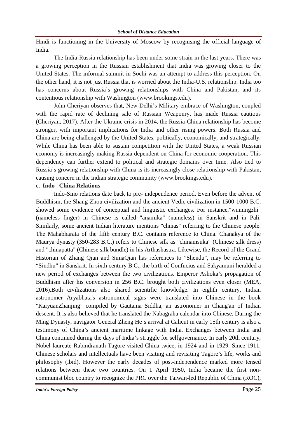Hindi is functioning in the University of Moscow by recognising the official language of India.

The India-Russia relationship has been under some strain in the last years. There was a growing perception in the Russian establishment that India was growing closer to the United States. The informal summit in Sochi was an attempt to address this perception. On the other hand, it is not just Russia that is worried about the India-U.S. relationship. India too has concerns about Russia's growing relationships with China and Pakistan, and its contentious relationship with Washington (www.brookings.edu).

John Cheriyan observes that, New Delhi's Military embrace of Washington, coupled with the rapid rate of declining sale of Russian Weaponry, has made Russia cautious (Cheriyan, 2017). After the Ukraine crisis in 2014, the Russia-China relationship has become stronger, with important implications for India and other rising powers. Both Russia and China are being challenged by the United States, politically, economically, and strategically. While China has been able to sustain competition with the United States, a weak Russian economy is increasingly making Russia dependent on China for economic cooperation. This dependency can further extend to political and strategic domains over time. Also tied to Russia's growing relationship with China is its increasingly close relationship with Pakistan, causing concern in the Indian strategic community (www.brookings.edu).

#### **c. Indo –China Relations**

Indo-Sino relations date back to pre- independence period. Even before the advent of Buddhism, the Shang-Zhou civilization and the ancient Vedic civilization in 1500-1000 B.C. showed some evidence of conceptual and linguistic exchanges. For instance,"wumingzhi" (nameless finger) in Chinese is called "anamika" (nameless) in Sanskrit and in Pali. Similarly, some ancient Indian literature mentions "chinas" referring to the Chinese people. The Mahabharata of the fifth century B.C. contains reference to China. Chanakya of the Maurya dynasty (350-283 B.C.) refers to Chinese silk as "chinamsuka" (Chinese silk dress) and "chinapatta" (Chinese silk bundle) in his Arthashastra. Likewise, the Record of the Grand Historian of Zhang Qian and SimaQian has references to "Shendu", may be referring to "Sindhu" in Sanskrit. In sixth century B.C., the birth of Confucius and Sakyamuni heralded a new period of exchanges between the two civilizations. Emperor Ashoka's propagation of Buddhism after his conversion in 256 B.C. brought both civilizations even closer (MEA, 2016).Both civilizations also shared scientific knowledge. In eighth century, Indian astronomer Aryabhata's astronomical signs were translated into Chinese in the book "KaiyuanZhanjing" compiled by Gautama Siddha, an astronomer in Chang'an of Indian descent. It is also believed that he translated the Nabagraha calendar into Chinese. During the Ming Dynasty, navigator General Zheng He's arrival at Calicut in early 15th century is also a testimony of China's ancient maritime linkage with India. Exchanges between India and China continued during the days of India's struggle for selfgovernance. In early 20th century, Nobel laureate Rabindranath Tagore visited China twice, in 1924 and in 1929. Since 1911, Chinese scholars and intellectuals have been visiting and revisiting Tagore's life, works and philosophy (ibid). However the early decades of post-independence marked more tensed relations between these two countries. On 1 April 1950, India became the first non communist bloc country to recognize the PRC over the Taiwan-led Republic of China (ROC),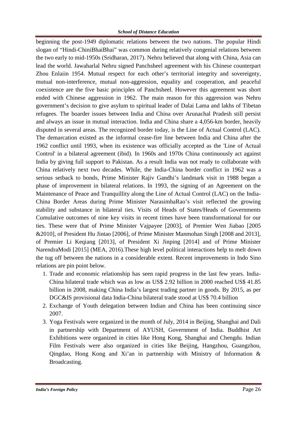beginning the post-1949 diplomatic relations between the two nations. The popular Hindi slogan of "Hindi-ChiniBhaiBhai" was common during relatively congenial relations between the two early to mid-1950s (Sridharan, 2017). Nehru believed that along with China, Asia can lead the world. Jawaharlal Nehru signed Panchsheel agreement with his Chinese counterpart Zhou Enlaiin 1954. Mutual respect for each other's territorial integrity and sovereignty, mutual non-interference, mutual non-aggression, equality and cooperation, and peaceful coexistence are the five basic principles of Panchsheel. However this agreement was short ended with Chinese aggression in 1962. The main reason for this aggression was Nehru government's decision to give asylum to spiritual leader of Dalai Lama and lakhs of Tibetan refugees. The boarder issues between India and China over Arunachal Pradesh still persist and always an issue in mutual interaction. India and China share a 4,056-km border, heavily disputed in several areas. The recognized border today, is the Line of Actual Control (LAC). The demarcation existed as the informal cease-fire line between India and China after the 1962 conflict until 1993, when its existence was officially accepted as the 'Line of Actual Control' in a bilateral agreement (ibid). In 1960s and 1970s China continuously act against India by giving full support to Pakistan. As a result India was not ready to collaborate with China relatively next two decades. While, the India-China border conflict in 1962 was a serious setback to bonds, Prime Minister Rajiv Gandhi's landmark visit in 1988 began a phase of improvement in bilateral relations. In 1993, the signing of an Agreement on the Maintenance of Peace and Tranquillity along the Line of Actual Control (LAC) on the India- China Border Areas during Prime Minister NarasimhaRao's visit reflected the growing stability and substance in bilateral ties. Visits of Heads of States/Heads of Governments Cumulative outcomes of nine key visits in recent times have been transformational for our ties. These were that of Prime Minister Vajpayee [2003], of Premier Wen Jiabao [2005 &2010], of President Hu Jintao [2006], of Prime Minister Manmohan Singh [2008 and 2013], of Premier Li Keqiang [2013], of President Xi Jinping [2014] and of Prime Minister NarendraModi [2015] (MEA, 2016).These high level political interactions help to melt down the tug off between the nations in a considerable extent. Recent improvements in Indo Sino relations are pin point below.

- 1. Trade and economic relationship has seen rapid progress in the last few years. India- China bilateral trade which was as low as US\$ 2.92 billion in 2000 reached US\$ 41.85 billion in 2008, making China India's largest trading partner in goods. By 2015, as per DGC&IS provisional data India-China bilateral trade stood at US\$ 70.4 billion
- 2. Exchange of Youth delegation between Indian and China has been continuing since 2007.
- 3. Yoga Festivals were organized in the month of July, 2014 in Beijing, Shanghai and Dali in partnership with Department of AYUSH, Government of India. Buddhist Art Exhibitions were organized in cities like Hong Kong, Shanghai and Chengdu. Indian Film Festivals were also organized in cities like Beijing, Hangzhou, Guangzhou, Qingdao, Hong Kong and Xi'an in partnership with Ministry of Information & Broadcasting.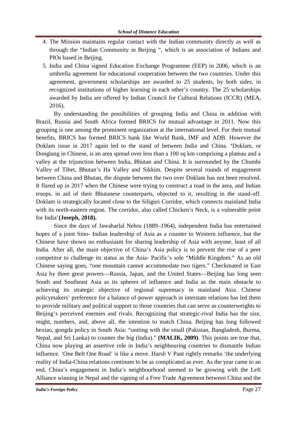- 4. The Mission maintains regular contact with the Indian community directly as well as through the "Indian Community in Beijing ", which is an association of Indians and PIOs based in Beijing.
- 5. India and China signed Education Exchange Programme (EEP) in 2006, which is an umbrella agreement for educational cooperation between the two countries. Under this agreement, government scholarships are awarded to 25 students, by both sides, in recognized institutions of higher learning in each other's country. The 25 scholarships awarded by India are offered by Indian Council for Cultural Relations (ICCR) (MEA, 2016).

By understanding the possibilities of grouping India and China in addition with Brazil, Russia and South Africa formed BRICS for mutual advantage in 2011. Now this grouping is one among the prominent organization at the international level. For their mutual benefits, BRICS has formed BRICS bank like World Bank, IMF and ADB. However the Doklam issue in 2017 again led to the stand of between India and China. **'**Doklam, or Donglang in Chinese, is an area spread over less than a 100 sq km comprising a plateau and a valley at the trijunction between India, Bhutan and China. It is surrounded by the Chumbi Valley of Tibet, Bhutan's Ha Valley and Sikkim. Despite several rounds of engagement between China and Bhutan, the dispute between the two over Doklam has not been resolved. It flared up in 2017 when the Chinese were trying to construct a road in the area, and Indian troops, in aid of their Bhutanese counterparts, objected to it, resulting in the stand-off. Doklam is strategically located close to the Siliguri Corridor, which connects mainland India with its north-eastern region. The corridor, also called Chicken's Neck, is a vulnerable point for India'**(Joseph, 2018).**

Since the days of Jawaharlal Nehru (1889–1964), independent India has entertained hopes of a joint Sino- Indian leadership of Asia as a counter to Western influence, but the Chinese have shown no enthusiasm for sharing leadership of Asia with anyone, least of all India. After all, the main objective of China's Asia policy is to prevent the rise of a peer competitor to challenge its status as the Asia- Pacific's sole "Middle Kingdom." As an old Chinese saying goes, "one mountain cannot accommodate two tigers." Checkmated in East Asia by three great powers—Russia, Japan, and the United States—Beijing has long seen South and Southeast Asia as its spheres of influence and India as the main obstacle to achieving its strategic objective of regional supremacy in mainland Asia. Chinese policymakers' preference for a balance of-power approach in interstate relations has led them to provide military and political support to those countries that can serve as counterweights to Beijing's perceived enemies and rivals. Recognizing that strategic-rival India has the size, might, numbers, and, above all, the intention to match China, Beijing has long followed hexiao, gongda policy in South Asia: "uniting with the small (Pakistan, Bangladesh, Burma, Nepal, and Sri Lanka) to counter the big (India)." **(MALIK, 2009)**. This points are true that, China now playing an assertive role in India's neighbouring countries to dismantle Indian influence. 'One Belt One Road' is like a move. Harsh V Pant rightly remarks 'the underlying reality of India-China relations continues to be as complicated as ever. As the year came to an end, China's engagement in India's neighbourhood seemed to be growing with the Left Alliance winning in Nepal and the signing of a Free Trade Agreement between China and the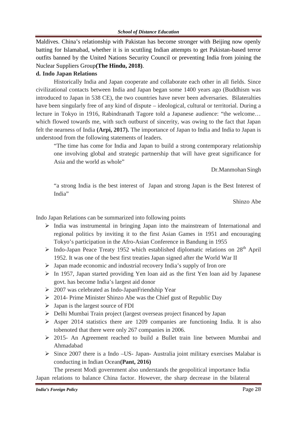Maldives. China's relationship with Pakistan has become stronger with Beijing now openly batting for Islamabad, whether it is in scuttling Indian attempts to get Pakistan-based terror outfits banned by the United Nations Security Council or preventing India from joining the Nuclear Suppliers Group**(The Hindu, 2018)**.

#### **d. Indo Japan Relations**

Historically India and Japan cooperate and collaborate each other in all fields. Since civilizational contacts between India and Japan began some 1400 years ago (Buddhism was introduced to Japan in 538 CE), the two countries have never been adversaries. Bilateralties have been singularly free of any kind of dispute – ideological, cultural or territorial. During a lecture in Tokyo in 1916, Rabindranath Tagore told a Japanese audience: "the welcome… which flowed towards me, with such outburst of sincerity, was owing to the fact that Japan felt the nearness of India **(Arpi, 2017).** The importance of Japan to India and India to Japan is understood from the following statements of leaders.

"The time has come for India and Japan to build a strong contemporary relationship one involving global and strategic partnership that will have great significance for Asia and the world as whole"

Dr.Manmohan Singh

"a strong India is the best interest of Japan and strong Japan is the Best Interest of India"

Shinzo Abe

Indo Japan Relations can be summarized into following points

- $\triangleright$  India was instrumental in bringing Japan into the mainstream of International and regional politics by inviting it to the first Asian Games in 1951 and encouraging Tokyo's participation in the Afro-Asian Conference in Bandung in 1955
- $\triangleright$  Indo-Japan Peace Treaty 1952 which established diplomatic relations on 28<sup>th</sup> April 1952. It was one of the best first treaties Japan signed after the World War II
- $\triangleright$  Japan made economic and industrial recovery India's supply of Iron ore
- $\triangleright$  In 1957, Japan started providing Yen loan aid as the first Yen loan aid by Japanese govt. has become India's largest aid donor
- 2007 was celebrated as Indo-JapanFriendship Year
- $\geq 2014$  Prime Minister Shinzo Abe was the Chief gust of Republic Day
- $\triangleright$  Japan is the largest source of FDI
- Delhi Mumbai Train project (largest overseas project financed by Japan
- $\triangleright$  Asper 2014 statistics there are 1209 companies are functioning India. It is also tobenoted that there were only 267 companies in 2006.
- 2015- An Agreement reached to build a Bullet train line between Mumbai and Ahmadabad
- $\triangleright$  Since 2007 there is a Indo –US- Japan- Australia joint military exercises Malabar is conducting in Indian Ocean**(Pant, 2016)**

The present Modi government also understands the geopolitical importance India Japan relations to balance China factor. However, the sharp decrease in the bilateral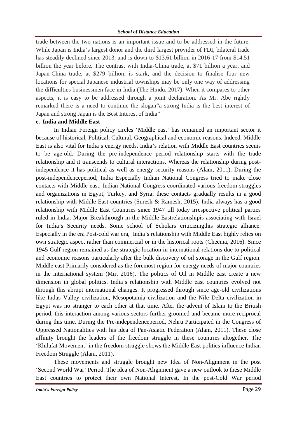trade between the two nations is an important issue and to be addressed in the future. While Japan is India's largest donor and the third largest provider of FDI, bilateral trade has steadily declined since 2013, and is down to \$13.61 billion in 2016-17 from \$14.51 billion the year before. The contrast with India-China trade, at \$71 billion a year, and Japan-China trade, at \$279 billion, is stark, and the decision to finalise four new locations for special Japanese industrial townships may be only one way of addressing the difficulties businessmen face in India (The Hindu, 2017). When it compares to other aspects, it is easy to be addressed through a joint declaration. As Mr. Abe rightly remarked there is a need to continue the slogan"a strong India is the best interest of Japan and strong Japan is the Best Interest of India"

#### **e. India and Middle East**

In Indian Foreign policy circles 'Middle east' has remained an important sector it because of historical, Political, Cultural, Geographical and economic reasons. Indeed, Middle East is also vital for India's energy needs. India's relation with Middle East countries seems to be age-old. During the pre-independence period relationship starts with the trade relationship and it transcends to cultural interactions. Whereas the relationship during postindependence it has political as well as energy security reasons (Alam, 2011). During the post-independenceperiod, India Especially Indian National Congress tried to make close contacts with Middle east. Indian National Congress coordinated various freedom struggles and organizations in Egypt, Turkey, and Syria; these contacts gradually results in a good relationship with Middle East countries (Suresh & Ramesh, 2015). India always has a good relationship with Middle East Countries since 1947 till today irrespective political parties ruled in India. Major Breakthrough in the Middle Eastrelationshipis associating with Israel for India's Security needs. Some school of Scholars criticizingthis strategic alliance. Especially in the era Post-cold war era, India's relationship with Middle East highly relies on own strategic aspect rather than commercial or in the historical roots (Cheema, 2016). Since 1945 Gulf region remained as the strategic location in international relations due to political and economic reasons particularly after the bulk discovery of oil storage in the Gulf region. Middle east Primarily considered as the foremost region for energy needs of major countries in the international system (Mir, 2016). The politics of Oil in Middle east create a new dimension in global politics. India's relationship with Middle east countries evolved not through this abrupt international changes. It progressed through since age-old civilizations like Indus Valley civilization, Mesopotamia civilization and the Nile Delta civilization in Egypt was no stranger to each other at that time. After the advent of Islam to the British period, this interaction among various sectors further groomed and became more reciprocal during this time. During the Pre-independenceperiod, Nehru Participated in the Congress of Oppressed Nationalities with his idea of Pan-Asiatic Federation (Alam, 2011). These close affinity brought the leaders of the freedom struggle in these countries altogether. The 'Khilafat Movement' in the freedom struggle shows the Middle East politics influence Indian Freedom Struggle (Alam, 2011).

These movements and struggle brought new Idea of Non-Alignment in the post 'Second World War' Period. The idea of Non-Alignment gave a new outlook to these Middle East countries to protect their own National Interest. In the post-Cold War period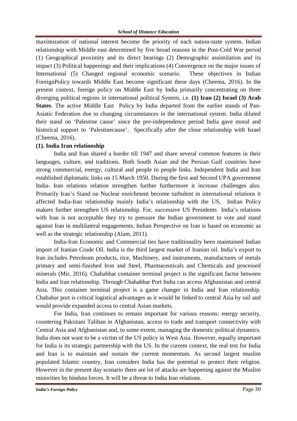maximization of national interest become the priority of each nation-state system. Indian relationship with Middle east determined by five broad reasons in the Post-Cold War period (1) Geographical proximity and its direct bearings (2) Demographic assimilation and its impact (3) Political happenings and their implications (4) Convergence on the major issues of International (5) Changed regional economic scenario. These objectives in Indian ForeignPolicy towards Middle East become significant these days (Cheema, 2016). In the present context, foreign policy on Middle East by India primarily concentrating on three diverging political regions in international political System, i.e. **(1) Iran (2) Israel (3) Arab States**. The active Middle East Policy by India departed from the earlier stands of Pan- Asiatic Federation due to changing circumstances in the international system. India diluted their stand on 'Palestine cause' since the pre-independence period India gave moral and historical support to 'Palestinecause'. Specifically after the close relationship with Israel (Cheema, 2016).

#### **(1). India Iran relationship**

India and Iran shared a border till 1947 and share several common features in their languages, culture, and traditions. Both South Asian and the Persian Gulf countries have strong commercial, energy, cultural and people to people links. Independent India and Iran established diplomatic links on 15 March 1950. During the first and Second UPA government India- Iran relations relation strengthen further furthermore it increase challenges also. Primarily Iran's Stand on Nuclear enrichment become turbulent in international relations it affected India-Iran relationship mainly India's relationship with the US, Indian Policy makers further strengthen US relationship. For, successive US Presidents India's relations with Iran is not acceptable they try to pressure the Indian government to vote and stand against Iran in multilateral engagements. Indian Perspective on Iran is based on economic as well as the strategic relationship (Alam, 2011).

India-Iran Economic and Commercial ties have traditionality been maintained Indian import of Iranian Crude Oil. India is the third largest market of Iranian oil. India's export to Iran includes Petroleum products, rice, Machinery, and instruments, manufactures of metals primary and semi-finished Iron and Steel, Pharmaceuticals and Chemicals and processed minerals (Mir, 2016). Chahabhar container terminal project is the significant factor between India and Iran relationship. Through Chahabhar Port India can access Afghanistan and central Asia. This container terminal project is a game changer in India and Iran relationship. Chabahar port is critical logistical advantages as it would be linked to central Asia by rail and would provide expanded access to central Asian markets.

For India, Iran continues to remain important for various reasons: energy security, countering Pakistani Taliban in Afghanistan, access to trade and transport connectivity with Central Asia and Afghanistan and, to some extent, managing the domestic political dynamics. India does not want to be a victim of the US policy in West Asia. However, equally important for India is its strategic partnership with the US. In the current context, the real test for India and Iran is to maintain and sustain the current momentum. As second largest muslim populated Islamic country, Iran considers India has the potential to protect their religion. However in the present day scenario there are lot of attacks are happening against the Muslim minorities by hinduta forces. It will be a threat to India Iran relations.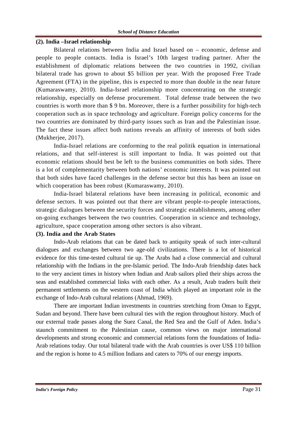#### **(2). India –Israel relationship**

Bilateral relations between India and Israel based on – economic, defense and people to people contacts. India is Israel's 10th largest trading partner. After the establishment of diplomatic relations between the two countries in 1992, civilian bilateral trade has grown to about \$5 billion per year. With the proposed Free Trade Agreement (FTA) in the pipeline, this is expected to more than double in the near future (Kumaraswamy, 2010). India-Israel relationship more concentrating on the strategic relationship, especially on defense procurement. Total defense trade between the two countries is worth more than \$ 9 bn. Moreover, there is a further possibility for high-tech cooperation such as in space technology and agriculture. Foreign policy concerns for the two countries are dominated by third-party issues such as Iran and the Palestinian issue. The fact these issues affect both nations reveals an affinity of interests of both sides (Mukherjee, 2017).

India-Israel relations are conforming to the real politik equation in international relations, and that self-interest is still important to India. It was pointed out that economic relations should best be left to the business communities on both sides. There is a lot of complementarity between both nations' economic interests. It was pointed out that both sides have faced challenges in the defense sector but this has been an issue on which cooperation has been robust (Kumaraswamy, 2010).

India-Israel bilateral relations have been increasing in political, economic and defense sectors. It was pointed out that there are vibrant people-to-people interactions, strategic dialogues between the security forces and strategic establishments, among other on-going exchanges between the two countries. Cooperation in science and technology, agriculture, space cooperation among other sectors is also vibrant.

#### **(3). India and the Arab States**

Indo-Arab relations that can be dated back to antiquity speak of such inter-cultural dialogues and exchanges between two age-old civilizations. There is a lot of historical evidence for this time-tested cultural tie up. The Arabs had a close commercial and cultural relationship with the Indians in the pre-Islamic period. The Indo-Arab friendship dates back to the very ancient times in history when Indian and Arab sailors plied their ships across the seas and established commercial links with each other. As a result, Arab traders built their permanent settlements on the western coast of India which played an important role in the exchange of Indo-Arab cultural relations (Ahmad, 1969).

There are important Indian investments in countries stretching from Oman to Egypt, Sudan and beyond. There have been cultural ties with the region throughout history. Much of our external trade passes along the Suez Canal, the Red Sea and the Gulf of Aden. India's staunch commitment to the Palestinian cause, common views on major international developments and strong economic and commercial relations form the foundations of India- Arab relations today. Our total bilateral trade with the Arab countries is over US\$ 110 billion and the region is home to 4.5 million Indians and caters to 70% of our energy imports.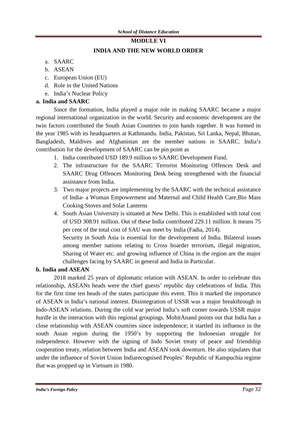#### **MODULE VI**

#### **INDIA AND THE NEW WORLD ORDER**

- a. SAARC
- b. ASEAN
- c. European Union (EU)
- d. Role in the United Nations
- e. India's Nuclear Policy

#### **a. India and SAARC**

Since the formation, India played a major role in making SAARC became a major regional international organization in the world. Security and economic development are the twin factors contributed the South Asian Countries to join hands together. It was formed in the year 1985 with its headquarters at Kathmandu. India, Pakistan, Sri Lanka, Nepal, Bhutan, Bangladesh, Maldives and Afghanistan are the member nations in SAARC. India's contribution for the development of SAARC can be pin point as

- 1. India contributed USD 189.9 million to SAARC Development Fund.
- 2. The infrastructure for the SAARC Terrorist Monitoring Offences Desk and SAARC Drug Offences Monitoring Desk being strengthened with the financial assistance from India.
- 3. Two major projects are implementing by the SAARC with the technical assistance of India- a Woman Empowerment and Maternal and Child Health Care,Bio Mass Cooking Stoves and Solar Lanterns
- 4. South Asian University is situated at New Delhi. This is established with total cost of USD 308.91 million. Out of these India contributed 229.11 million. It means 75 per cent of the total cost of SAU was meet by India (Fadia, 2014). Security in South Asia is essential for the development of India. Bilateral issues

among member nations relating to Cross boarder terrorism, illegal migration, Sharing of Water etc. and growing influence of China in the region are the major challenges facing by SAARC in general and India in Particular.

#### **b. India and ASEAN**

2018 marked 25 years of diplomatic relation with ASEAN. In order to celebrate this relationship, ASEANs heads were the chief guests' republic day celebrations of India. This for the first time ten heads of the states participate this event. This it marked the importance of ASEAN in India's national interest. Disintegration of USSR was a major breakthrough in Indo-ASEAN relations. During the cold war period India's soft corner towards USSR major hurdle in the interaction with this regional groupings. MohitAnand points out that India has a close relationship with ASEAN countries since independence; it startled its influence in the south Asian region during the 1950's by supporting the Indonesian struggle for independence. However with the signing of Indo Soviet treaty of peace and friendship cooperation treaty, relation between India and ASEAN took downturn. He also stipulates that under the influence of Soviet Union Indiarecognised Peoples' Republic of Kampuchia regime that was propped up in Vietnam in 1980.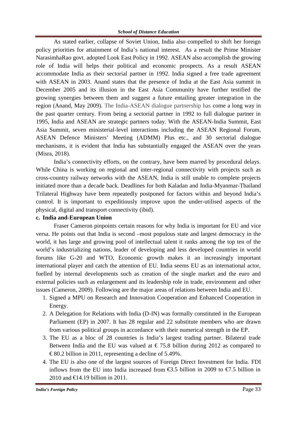As stated earlier, collapse of Soviet Union, India also compelled to shift her foreign policy priorities for attainment of India's national interest. As a result the Prime Minister NarasimhaRao govt. adopted Look East Policy in 1992. ASEAN also accomplish the growing role of India will helps their political and economic prospects. As a result ASEAN accommodate India as their sectorial partner in 1992. India signed a free trade agreement with ASEAN in 2003. Anand states that the presence of India at the East Asia summit in December 2005 and its illusion in the East Asia Community have further testified the growing synergies between them and suggest a future entailing greater integration in the region (Anand, May 2009). The India-ASEAN dialogue partnership has come a long way in the past quarter century. From being a sectorial partner in 1992 to full dialogue partner in 1995, India and ASEAN are strategic partners today. With the ASEAN-India Summit, East Asia Summit, seven ministerial-level interactions including the ASEAN Regional Forum, ASEAN Defence Ministers' Meeting (ADMM) Plus etc., and 30 sectorial dialogue mechanisms, it is evident that India has substantially engaged the ASEAN over the years (Misra, 2018).

India's connectivity efforts, on the contrary, have been marred by procedural delays. While China is working on regional and inter-regional connectivity with projects such as cross-country railway networks with the ASEAN, India is still unable to complete projects initiated more than a decade back. Deadlines for both Kaladan and India-Myanmar-Thailand Trilateral Highway have been repeatedly postponed for factors within and beyond India's control. It is important to expeditiously improve upon the under-utilised aspects of the physical, digital and transport connectivity (ibid).

#### **c. India and-European Union**

Fraser Cameron pinpoints certain reasons for why India is important for EU and vice versa. He points out that India is second –most populous state and largest democracy in the world, it has large and growing pool of intellectual talent it ranks among the top ten of the world's industrializing nations, leader of developing and less developed countries in world forums like G-20 and WTO, Economic growth makes it an increasingly important international player and catch the attention of EU. India seems EU as an international actor, fuelled by internal developments such as creation of the single market and the euro and external policies such as enlargement and its leadership role in trade, environment and other issues (Cameron, 2009). Following are the major areas of relations between India and EU.

- 1. Signed a MPU on Research and Innovation Cooperation and Enhanced Cooperation in Energy.
- 2. A Delegation for Relations with India (D-IN) was formally constituted in the European Parliament (EP) in 2007. It has 28 regular and 22 substitute members who are drawn from various political groups in accordance with their numerical strength in the EP.
- 3. The EU as a bloc of 28 countries is India's largest trading partner. Bilateral trade Between India and the EU was valued at  $\epsilon$  75.8 billion during 2012 as compared to  $\epsilon$ 80.2 billion in 2011, representing a decline of 5.49%.
- 4. The EU is also one of the largest sources of Foreign Direct Investment for India. FDI inflows from the EU into India increased from  $\text{\textsterling}3.5$  billion in 2009 to  $\text{\textsterling}7.5$  billion in 2010 and **€14.19** billion in 2011.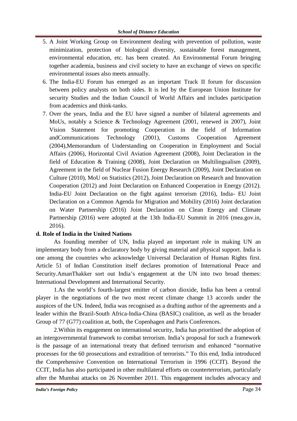- 5. A Joint Working Group on Environment dealing with prevention of pollution, waste minimization, protection of biological diversity, sustainable forest management, environmental education, etc. has been created. An Environmental Forum bringing together academia, business and civil society to have an exchange of views on specific environmental issues also meets annually.
- 6. The India-EU Forum has emerged as an important Track II forum for discussion between policy analysts on both sides. It is led by the European Union Institute for security Studies and the Indian Council of World Affairs and includes participation from academics and think-tanks.
- 7. Over the years, India and the EU have signed a number of bilateral agreements and MoUs, notably a Science & Technology Agreement (2001, renewed in 2007), Joint Vision Statement for promoting Cooperation in the field of Information andCommunications Technology (2001), Customs Cooperation Agreement (2004),Memorandum of Understanding on Cooperation in Employment and Social Affairs (2006), Horizontal Civil Aviation Agreement (2008), Joint Declaration in the field of Education & Training (2008), Joint Declaration on Multilingualism (2009), Agreement in the field of Nuclear Fusion Energy Research (2009), Joint Declaration on Culture (2010), MoU on Statistics (2012), Joint Declaration on Research and Innovation Cooperation (2012) and Joint Declaration on Enhanced Cooperation in Energy (2012). India-EU Joint Declaration on the fight against terrorism (2016), India- EU Joint Declaration on a Common Agenda for Migration and Mobility (2016) Joint declaration on Water Partnership (2016) Joint Declaration on Clean Energy and Climate Partnership (2016) were adopted at the 13th India-EU Summit in 2016 (mea.gov.in, 2016).

#### **d. Role of India in the United Nations**

As founding member of UN, India played an important role in making UN an implementary body from a declaratory body by giving material and physical support. India is one among the countries who acknowledge Universal Declaration of Human Rights first. Article 51 of Indian Constitution itself declares promotion of International Peace and Security.AmanThakker sort out India's engagement at the UN into two broad themes: International Development and International Security.

1.As the world's fourth-largest emitter of carbon dioxide, India has been a central player in the negotiations of the two most recent climate change 13 accords under the auspices of the UN. Indeed, India was recognised as a drafting author of the agreements and a leader within the Brazil-South Africa-India-China (BASIC) coalition, as well as the broader Group of 77 (G77) coalition at, both, the Copenhagen and Paris Conferences.

2.Within its engagement on international security, India has prioritised the adoption of an intergovernmental framework to combat terrorism. India's proposal for such a framework is the passage of an international treaty that defined terrorism and enhanced "normative processes for the 60 prosecutions and extradition of terrorists." To this end, India introduced the Comprehensive Convention on International Terrorism in 1996 (CCIT). Beyond the CCIT, India has also participated in other multilateral efforts on counterterrorism, particularly after the Mumbai attacks on 26 November 2011. This engagement includes advocacy and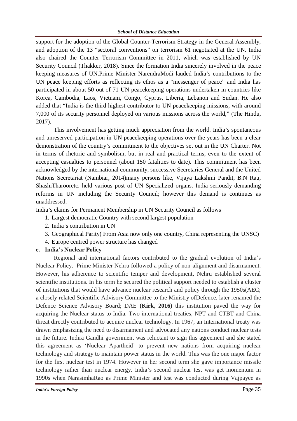support for the adoption of the Global Counter-Terrorism Strategy in the General Assembly, and adoption of the 13 "sectoral conventions" on terrorism 61 negotiated at the UN. India also chaired the Counter Terrorism Committee in 2011, which was established by UN Security Council (Thakker, 2018). Since the formation India sincerely involved in the peace keeping measures of UN.Prime Minister NarendraModi lauded India's contributions to the UN peace keeping efforts as reflecting its ethos as a "messenger of peace" and India has participated in about 50 out of 71 UN peacekeeping operations undertaken in countries like Korea, Cambodia, Laos, Vietnam, Congo, Cyprus, Liberia, Lebanon and Sudan. He also added that "India is the third highest contributor to UN peacekeeping missions, with around 7,000 of its security personnel deployed on various missions across the world," (The Hindu, 2017).

This involvement has getting much appreciation from the world. India's spontaneous and unreserved participation in UN peacekeeping operations over the years has been a clear demonstration of the country's commitment to the objectives set out in the UN Charter. Not in terms of rhetoric and symbolism, but in real and practical terms, even to the extent of accepting casualties to personnel (about 150 fatalities to date). This commitment has been acknowledged by the international community, successive Secretaries General and the United Nations Secretariat (Nambiar, 2014)many persons like, Vijaya Lakshmi Pandit, B.N Rau, ShashiTharooretc. held various post of UN Specialized organs. India seriously demanding reforms in UN including the Security Council; however this demand is continues as unaddressed.

India's claims for Permanent Membership in UN Security Council as follows

- 1. Largest democratic Country with second largest population
- 2. India's contribution in UN
- 3. Geographical Parity( From Asia now only one country, China representing the UNSC)
- 4. Europe centred power structure has changed

#### **e. India's Nuclear Policy**

Regional and international factors contributed to the gradual evolution of India's Nuclear Policy. Prime Minister Nehru followed a policy of non-alignment and disarmament. However, his adherence to scientific temper and development, Nehru established several scientific institutions. In his term he secured the political support needed to establish a cluster of institutions that would have advance nuclear research and policy through the 1950s(AEC; a closely related Scientific Advisory Committee to the Ministry ofDefence, later renamed the Defence Science Advisory Board; DAE **(Kirk, 2016)** this institution paved the way for acquiring the Nuclear status to India. Two international treaties, NPT and CTBT and China threat directly contributed to acquire nuclear technology. In 1967, an International treaty was drawn emphasizing the need to disarmament and advocated any nations conduct nuclear tests in the future. Indira Gandhi government was reluctant to sign this agreement and she stated this agreement as 'Nuclear Apartheid' to prevent new nations from acquiring nuclear technology and strategy to maintain power status in the world. This was the one major factor for the first nuclear test in 1974. However in her second term she gave importance missile technology rather than nuclear energy. India's second nuclear test was get momentum in 1990s when NarasimhaRao as Prime Minister and test was conducted during Vajpayee as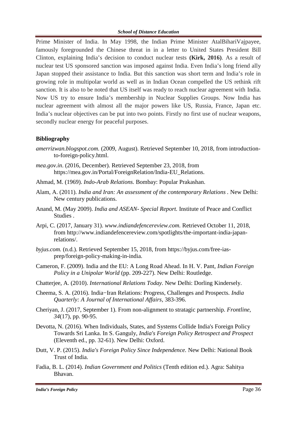Prime Minister of India. In May 1998, the Indian Prime Minister AtalBihariVajpayee, famously foregrounded the Chinese threat in in a letter to United States President Bill Clinton, explaining India's decision to conduct nuclear tests **(Kirk, 2016)**. As a result of nuclear test US sponsored sanction was imposed against India. Even India's long friend ally Japan stopped their assistance to India. But this sanction was short term and India's role in growing role in multipolar world as well as in Indian Ocean compelled the US rethink rift sanction. It is also to be noted that US itself was ready to reach nuclear agreement with India. Now US try to ensure India's membership in Nuclear Supplies Groups. Now India has nuclear agreement with almost all the major powers like US, Russia, France, Japan etc. India's nuclear objectives can be put into two points. Firstly no first use of nuclear weapons, secondly nuclear energy for peaceful purposes.

#### **Bibliography**

- *amerrizwan.blogspot.com.* (2009, August). Retrieved September 10, 2018, from introductionto-foreign-policy.html.
- *mea.gov.in*. (2016, December). Retrieved September 23, 2018, from https://mea.gov.in/Portal/ForeignRelation/India-EU\_Relations.
- Ahmad, M. (1969). *Indo-Arab Relations.* Bombay: Popular Prakashan.
- Alam, A. (2011). *India and Iran: An assessment of the contemporary Relations .* New Delhi: New century publications.
- Anand, M. (May 2009). *India and ASEAN- Special Report.* Institute of Peace and Conflict Studies .
- Arpi, C. (2017, January 31). *www.indiandefencereview.com.* Retrieved October 11, 2018, from http://www.indiandefencereview.com/spotlights/the-important-india-japanrelations/.
- *byjus.com.* (n.d.). Retrieved September 15, 2018, from https://byjus.com/free-ias prep/foreign-policy-making-in-india.
- Cameron, F. (2009). India and the EU: A Long Road Ahead. In H. V. Pant, *Indian Foreign Policy in a Unipolar World* (pp.209-227). New Delhi: Routledge.
- Chatterjee, A. (2010). *International Relations Today.* New Delhi: Dorling Kindersely.
- Cheema, S. A. (2016). India−Iran Relations: Progress, Challenges and Prospects. *India Quarterly: A Journal of International Affairs*, 383-396.
- Cheriyan, J. (2017, September 1). From non-alignment to stratagic partnership. *Frontline, 34*(17), pp. 90-95.
- Devotta, N. (2016). When Individuals, States, and Systems Collide India's Foreign Policy Towards Sri Lanka. In S. Ganguly, *India's Foreign Policy Retrospect and Prospect* (Eleventh ed., pp. 32-61). New Delhi: Oxford.
- Dutt, V. P. (2015). *India's Foreign Policy Since Independence.* New Delhi: National Book Trust of India.
- Fadia, B. L. (2014). *Indian Government and Politics* (Tenth edition ed.). Agra: Sahitya Bhavan.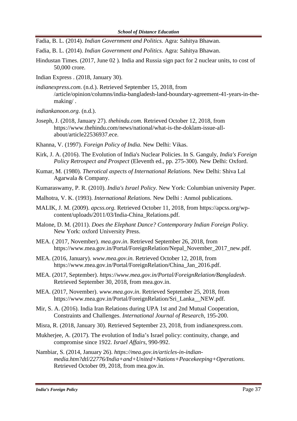Fadia, B. L. (2014). *Indian Government and Politics.* Agra: Sahitya Bhawan.

- Fadia, B. L. (2014). *Indian Government and Politics.* Agra: Sahitya Bhawan.
- Hindustan Times. (2017, June 02 ). India and Russia sign pact for 2 nuclear units, to cost of 50,000 crore.
- Indian Express . (2018, January 30).
- *indianexpress.com*. (n.d.). Retrieved September 15, 2018, from /article/opinion/columns/india-bangladesh-land-boundary-agreement-41-years-in-the making/ .
- *indiankanoon.org*. (n.d.).
- Joseph, J. (2018, January 27). *thehindu.com.* Retrieved October 12, 2018, from https://www.thehindu.com/news/national/what-is-the-doklam-issue-all about/article22536937.ece.
- Khanna, V. (1997). *Foreign Policy of India.* New Delhi: Vikas.
- Kirk, J. A. (2016). The Evolution of India's Nuclear Policies. In S. Ganguly, *India's Foreign Policy Retrospect and Prospect* (Eleventh ed., pp. 275-300). New Delhi: Oxford.
- Kumar, M. (1980). *Therotical aspects of International Relations.* New Delhi: Shiva Lal Agarwala & Company.
- Kumaraswamy, P. R. (2010). *India's Israel Policy.* New York: Columbian university Paper.
- Malhotra, V. K. (1993). *International Relations.* New Delhi : Anmol publications.
- MALIK, J. M. (2009). *apcss.org.* Retrieved October 11, 2018, from https://apcss.org/wp content/uploads/2011/03/India-China\_Relations.pdf.
- Malone, D. M. (2011). *Does the Elephant Dance? Contemporary Indian Foreign Policy.* New York: oxford University Press.
- MEA. ( 2017, November). *mea.gov.in*. Retrieved September 26, 2018, from https://www.mea.gov.in/Portal/ForeignRelation/Nepal\_November\_2017\_new.pdf.
- MEA. (2016, January). *www.mea.gov.in.* Retrieved October 12, 2018, from https://www.mea.gov.in/Portal/ForeignRelation/China\_Jan\_2016.pdf.
- MEA. (2017, September). *https://www.mea.gov.in/Portal/ForeignRelation/Bangladesh*. Retrieved September 30, 2018, from mea.gov.in.
- MEA. (2017, November). *www.mea.gov.in*. Retrieved September 25, 2018, from https://www.mea.gov.in/Portal/ForeignRelation/Sri\_Lanka\_\_NEW.pdf.
- Mir, S. A. (2016). India Iran Relations during UPA 1st and 2nd Mutual Cooperation, Constraints and Challenges. *International Journal of Research*, 195-200.
- Misra, R. (2018, January 30). Retrieved September 23, 2018, from indianexpress.com.
- Mukherjee, A. (2017). The evolution of India's Israel policy: continuity, change, and compromise since 1922. *Israel Affairs*, 990-992.
- Nambiar, S. (2014, January 26). *https://mea.gov.in/articles-in-indian media.htm?dtl/22776/India+and+United+Nations+Peacekeeping+Operations.* Retrieved October 09, 2018, from mea.gov.in.